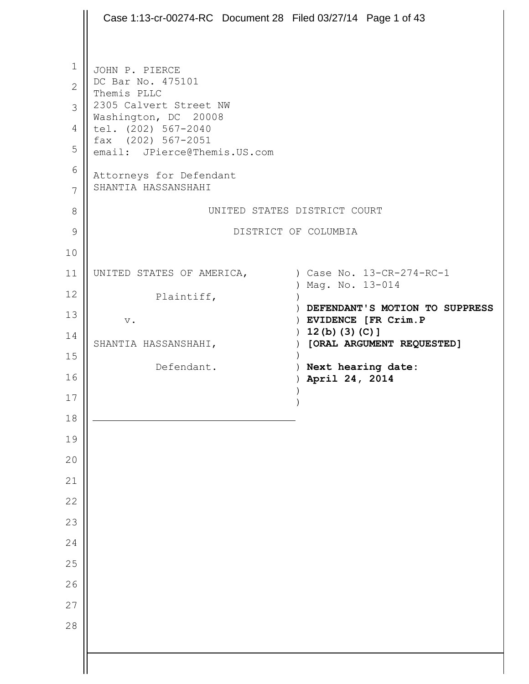|                | Case 1:13-cr-00274-RC Document 28 Filed 03/27/14 Page 1 of 43 |                                                               |
|----------------|---------------------------------------------------------------|---------------------------------------------------------------|
|                |                                                               |                                                               |
| $\mathbf{1}$   | JOHN P. PIERCE                                                |                                                               |
| $\overline{2}$ | DC Bar No. 475101<br>Themis PLLC                              |                                                               |
| $\mathcal{S}$  | 2305 Calvert Street NW<br>Washington, DC 20008                |                                                               |
| $\overline{4}$ | tel. (202) 567-2040                                           |                                                               |
| 5              | fax (202) 567-2051<br>email: JPierce@Themis.US.com            |                                                               |
| 6<br>7         | Attorneys for Defendant<br>SHANTIA HASSANSHAHI                |                                                               |
| 8              |                                                               | UNITED STATES DISTRICT COURT                                  |
| 9              |                                                               | DISTRICT OF COLUMBIA                                          |
| 10             |                                                               |                                                               |
| 11             | UNITED STATES OF AMERICA, (ase No. 13-CR-274-RC-1)            | ) Mag. No. 13-014                                             |
| 12             | Plaintiff,                                                    |                                                               |
| 13             | $\mathbf v$ .                                                 | ) DEFENDANT'S MOTION TO SUPPRESS<br>) EVIDENCE [FR Crim. P    |
| 14             | SHANTIA HASSANSHAHI,                                          | $12(b) (3) (C)$ ]<br>$\lambda$<br>) [ORAL ARGUMENT REQUESTED] |
| 15             | Defendant.                                                    | ) Next hearing date:                                          |
| 16             |                                                               | ) April 24, 2014                                              |
| $17$           |                                                               |                                                               |
| $18\,$         |                                                               |                                                               |
| 19             |                                                               |                                                               |
| 20             |                                                               |                                                               |
| 21             |                                                               |                                                               |
| 22<br>23       |                                                               |                                                               |
| 24             |                                                               |                                                               |
| 25             |                                                               |                                                               |
| 26             |                                                               |                                                               |
| 27             |                                                               |                                                               |
| 28             |                                                               |                                                               |
|                |                                                               |                                                               |
|                |                                                               |                                                               |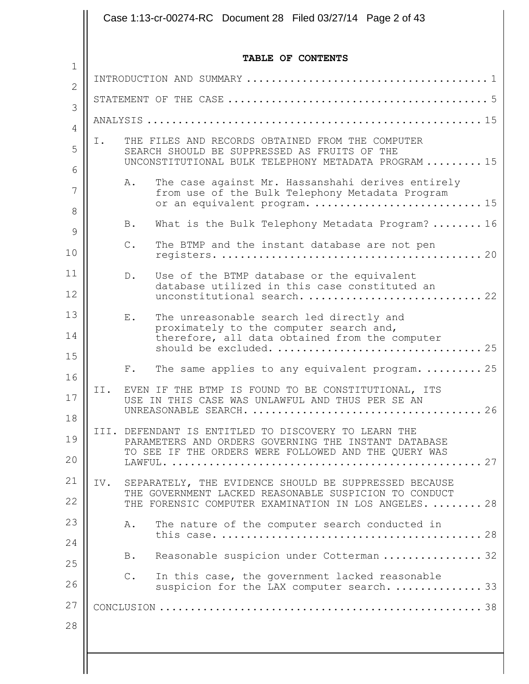|     |                             | TABLE OF CONTENTS                                                                                                                                                       |
|-----|-----------------------------|-------------------------------------------------------------------------------------------------------------------------------------------------------------------------|
|     |                             |                                                                                                                                                                         |
|     |                             |                                                                                                                                                                         |
|     |                             |                                                                                                                                                                         |
| Ι.  |                             | THE FILES AND RECORDS OBTAINED FROM THE COMPUTER<br>SEARCH SHOULD BE SUPPRESSED AS FRUITS OF THE<br>UNCONSTITUTIONAL BULK TELEPHONY METADATA PROGRAM  15                |
|     | Α.                          | The case against Mr. Hassanshahi derives entirely<br>from use of the Bulk Telephony Metadata Program<br>or an equivalent program.  15                                   |
|     | B.                          | What is the Bulk Telephony Metadata Program?  16                                                                                                                        |
|     | $\mathbb{C}$ .              | The BTMP and the instant database are not pen                                                                                                                           |
|     | $D$ .                       | Use of the BTMP database or the equivalent<br>database utilized in this case constituted an<br>unconstitutional search.  22                                             |
|     | $\boldsymbol{\mathrm{E}}$ . | The unreasonable search led directly and<br>proximately to the computer search and,<br>therefore, all data obtained from the computer                                   |
|     | F.                          | The same applies to any equivalent program.  25                                                                                                                         |
|     |                             | II. EVEN IF THE BTMP IS FOUND TO BE CONSTITUTIONAL, ITS<br>USE IN THIS CASE WAS UNLAWFUL AND THUS PER SE AN                                                             |
|     |                             | III. DEFENDANT IS ENTITLED TO DISCOVERY TO LEARN THE<br>PARAMETERS AND ORDERS GOVERNING THE INSTANT DATABASE<br>TO SEE IF THE ORDERS WERE FOLLOWED AND THE QUERY WAS    |
| IV. |                             | SEPARATELY, THE EVIDENCE SHOULD BE SUPPRESSED BECAUSE<br>THE GOVERNMENT LACKED REASONABLE SUSPICION TO CONDUCT<br>THE FORENSIC COMPUTER EXAMINATION IN LOS ANGELES.  28 |
|     | Α.                          | The nature of the computer search conducted in                                                                                                                          |
|     | B.                          | Reasonable suspicion under Cotterman  32                                                                                                                                |
|     | $C$ .                       | In this case, the government lacked reasonable<br>suspicion for the LAX computer search.  33                                                                            |
|     |                             |                                                                                                                                                                         |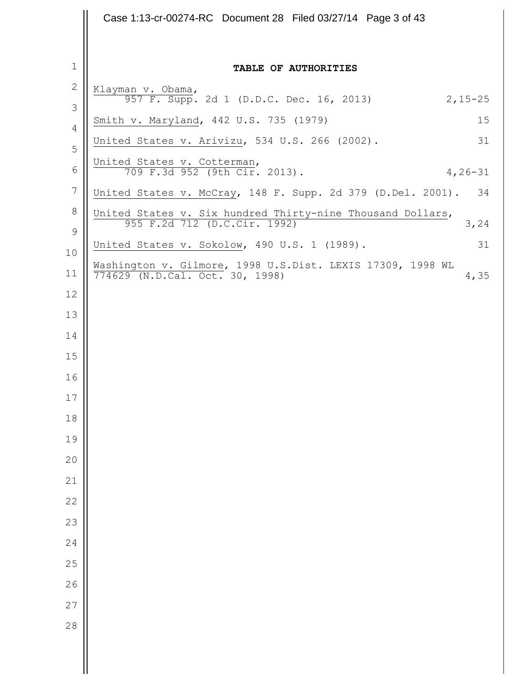|                  | Case 1:13-cr-00274-RC Document 28 Filed 03/27/14 Page 3 of 43                                         |
|------------------|-------------------------------------------------------------------------------------------------------|
|                  |                                                                                                       |
| $\mathbf{1}$     | TABLE OF AUTHORITIES                                                                                  |
| $\mathbf{2}$     | Klayman v. Obama,<br>957 F. Supp. 2d 1 (D.D.C. Dec. 16, 2013)                                         |
| 3                | $2,15 - 25$<br>15                                                                                     |
| $\overline{4}$   | Smith v. Maryland, 442 U.S. 735 (1979)<br>United States v. Arivizu, 534 U.S. 266 (2002).<br>31        |
| 5                | United States v. Cotterman,                                                                           |
| 6                | 709 F.3d 952 (9th Cir. 2013).<br>$4, 26 - 31$                                                         |
| $7\phantom{.0}$  | United States v. McCray, 148 F. Supp. 2d 379 (D.Del. 2001). 34                                        |
| 8<br>$\mathsf 9$ | United States v. Six hundred Thirty-nine Thousand Dollars,<br>955 F.2d 712 (D.C.Cir. 1992)<br>3,24    |
| 10               | United States v. Sokolow, 490 U.S. 1 (1989).<br>31                                                    |
| 11               | Washington v. Gilmore, 1998 U.S.Dist. LEXIS 17309, 1998 WL<br>774629 (N.D.Cal. Oct. 30, 1998)<br>4,35 |
| $12$             |                                                                                                       |
| 13               |                                                                                                       |
| 14               |                                                                                                       |
| 15               |                                                                                                       |
| 16               |                                                                                                       |
| 17               |                                                                                                       |
| 18               |                                                                                                       |
| 19               |                                                                                                       |
| 20               |                                                                                                       |
| 21               |                                                                                                       |
| 22               |                                                                                                       |
| 23               |                                                                                                       |
| 24               |                                                                                                       |
| 25               |                                                                                                       |
| 26               |                                                                                                       |
| 27               |                                                                                                       |
| 28               |                                                                                                       |
|                  |                                                                                                       |
|                  |                                                                                                       |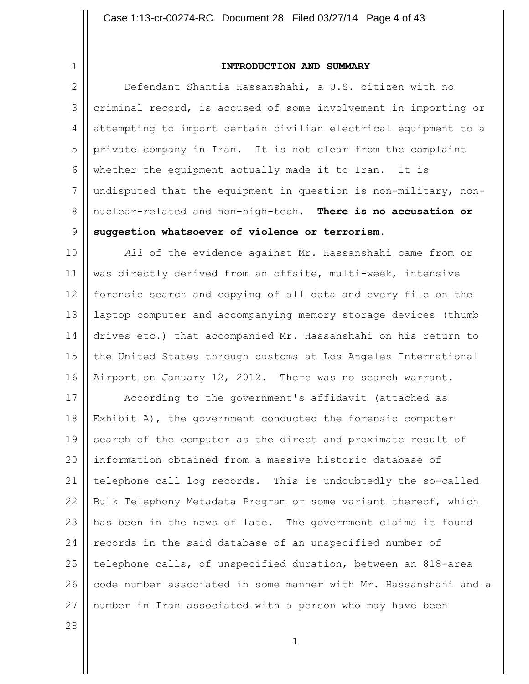1

#### **INTRODUCTION AND SUMMARY**

2 3 4 5 6 7 8 9 Defendant Shantia Hassanshahi, a U.S. citizen with no criminal record, is accused of some involvement in importing or attempting to import certain civilian electrical equipment to a private company in Iran. It is not clear from the complaint whether the equipment actually made it to Iran. It is undisputed that the equipment in question is non-military, nonnuclear-related and non-high-tech. **There is no accusation or suggestion whatsoever of violence or terrorism.**

10 11 12 13 14 15 16 *All* of the evidence against Mr. Hassanshahi came from or was directly derived from an offsite, multi-week, intensive forensic search and copying of all data and every file on the laptop computer and accompanying memory storage devices (thumb drives etc.) that accompanied Mr. Hassanshahi on his return to the United States through customs at Los Angeles International Airport on January 12, 2012. There was no search warrant.

17 18 19 20 21 22 23 24 25 26 27 According to the government's affidavit (attached as Exhibit A), the government conducted the forensic computer search of the computer as the direct and proximate result of information obtained from a massive historic database of telephone call log records. This is undoubtedly the so-called Bulk Telephony Metadata Program or some variant thereof, which has been in the news of late. The government claims it found records in the said database of an unspecified number of telephone calls, of unspecified duration, between an 818-area code number associated in some manner with Mr. Hassanshahi and a number in Iran associated with a person who may have been

28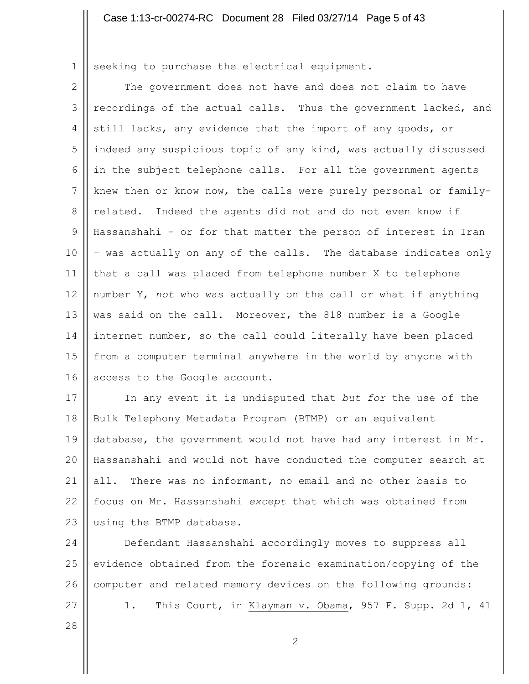1 seeking to purchase the electrical equipment.

2 3 4 5 6 7 8 9 10 11 12 13 14 15 16 The government does not have and does not claim to have recordings of the actual calls. Thus the government lacked, and still lacks, any evidence that the import of any goods, or indeed any suspicious topic of any kind, was actually discussed in the subject telephone calls. For all the government agents knew then or know now, the calls were purely personal or familyrelated. Indeed the agents did not and do not even know if Hassanshahi - or for that matter the person of interest in Iran – was actually on any of the calls. The database indicates only that a call was placed from telephone number X to telephone number Y, *not* who was actually on the call or what if anything was said on the call. Moreover, the 818 number is a Google internet number, so the call could literally have been placed from a computer terminal anywhere in the world by anyone with access to the Google account.

17 18 19 20 21 22 23 In any event it is undisputed that *but for* the use of the Bulk Telephony Metadata Program (BTMP) or an equivalent database, the government would not have had any interest in Mr. Hassanshahi and would not have conducted the computer search at all. There was no informant, no email and no other basis to focus on Mr. Hassanshahi *except* that which was obtained from using the BTMP database.

24 25 26 27 Defendant Hassanshahi accordingly moves to suppress all evidence obtained from the forensic examination/copying of the computer and related memory devices on the following grounds: 1. This Court, in Klayman v. Obama, 957 F. Supp. 2d 1, 41

28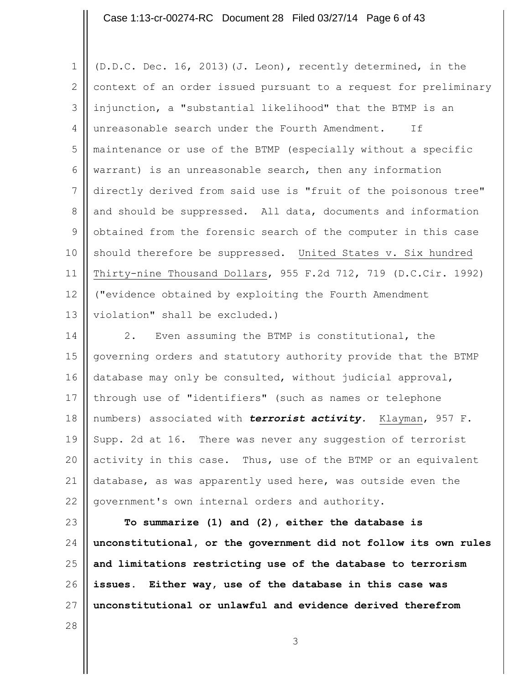#### Case 1:13-cr-00274-RC Document 28 Filed 03/27/14 Page 6 of 43

1 2 3 4 5 6 7 8 9 10 11 12 13 (D.D.C. Dec. 16, 2013)(J. Leon), recently determined, in the context of an order issued pursuant to a request for preliminary injunction, a "substantial likelihood" that the BTMP is an unreasonable search under the Fourth Amendment. If maintenance or use of the BTMP (especially without a specific warrant) is an unreasonable search, then any information directly derived from said use is "fruit of the poisonous tree" and should be suppressed. All data, documents and information obtained from the forensic search of the computer in this case should therefore be suppressed. United States v. Six hundred Thirty-nine Thousand Dollars, 955 F.2d 712, 719 (D.C.Cir. 1992) ("evidence obtained by exploiting the Fourth Amendment violation" shall be excluded.)

14 15 16 17 18 19 20 21 22 2. Even assuming the BTMP is constitutional, the governing orders and statutory authority provide that the BTMP database may only be consulted, without judicial approval, through use of "identifiers" (such as names or telephone numbers) associated with *terrorist activity.* Klayman, 957 F. Supp. 2d at 16. There was never any suggestion of terrorist activity in this case. Thus, use of the BTMP or an equivalent database, as was apparently used here, was outside even the government's own internal orders and authority.

23 24 25 26 27 **To summarize (1) and (2), either the database is unconstitutional, or the government did not follow its own rules and limitations restricting use of the database to terrorism issues. Either way, use of the database in this case was unconstitutional or unlawful and evidence derived therefrom** 

28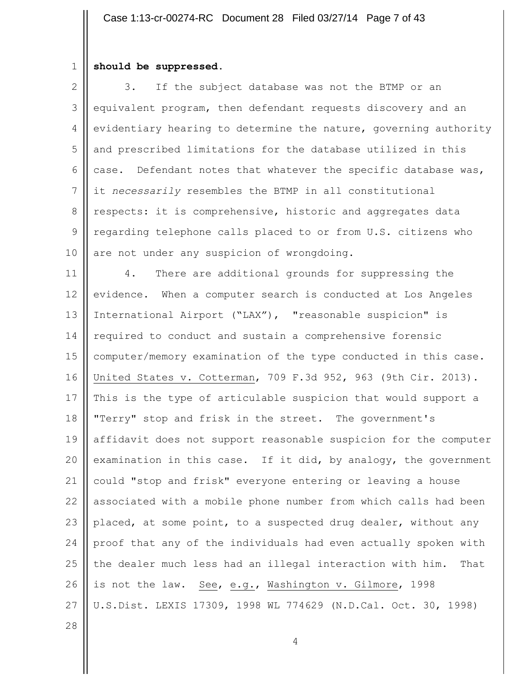#### 1 **should be suppressed.**

2 3 4 5 6 7 8 9 10 3. If the subject database was not the BTMP or an equivalent program, then defendant requests discovery and an evidentiary hearing to determine the nature, governing authority and prescribed limitations for the database utilized in this case. Defendant notes that whatever the specific database was, it *necessarily* resembles the BTMP in all constitutional respects: it is comprehensive, historic and aggregates data regarding telephone calls placed to or from U.S. citizens who are not under any suspicion of wrongdoing.

11 12 13 14 15 16 17 18 19 20 21 22 23 24 25 26 27 4. There are additional grounds for suppressing the evidence. When a computer search is conducted at Los Angeles International Airport ("LAX"), "reasonable suspicion" is required to conduct and sustain a comprehensive forensic computer/memory examination of the type conducted in this case. United States v. Cotterman, 709 F.3d 952, 963 (9th Cir. 2013). This is the type of articulable suspicion that would support a "Terry" stop and frisk in the street. The government's affidavit does not support reasonable suspicion for the computer examination in this case. If it did, by analogy, the government could "stop and frisk" everyone entering or leaving a house associated with a mobile phone number from which calls had been placed, at some point, to a suspected drug dealer, without any proof that any of the individuals had even actually spoken with the dealer much less had an illegal interaction with him. That is not the law. See, e.g., Washington v. Gilmore, 1998 U.S.Dist. LEXIS 17309, 1998 WL 774629 (N.D.Cal. Oct. 30, 1998)

28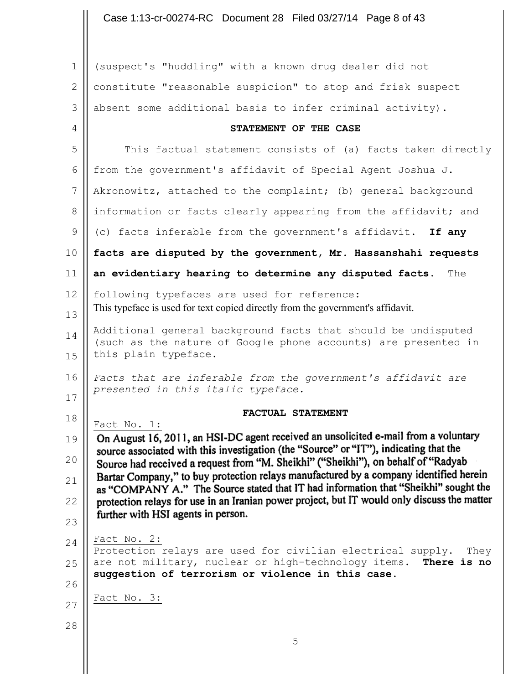## Case 1:13-cr-00274-RC Document 28 Filed 03/27/14 Page 8 of 43

| $\mathbf 1$     | (suspect's "huddling" with a known drug dealer did not                                                                                                                       |
|-----------------|------------------------------------------------------------------------------------------------------------------------------------------------------------------------------|
| 2               | constitute "reasonable suspicion" to stop and frisk suspect                                                                                                                  |
| 3               | absent some additional basis to infer criminal activity).                                                                                                                    |
| 4               | STATEMENT OF THE CASE                                                                                                                                                        |
| 5               | This factual statement consists of (a) facts taken directly                                                                                                                  |
| 6               | from the government's affidavit of Special Agent Joshua J.                                                                                                                   |
| $7\phantom{.0}$ | Akronowitz, attached to the complaint; (b) general background                                                                                                                |
| 8               | information or facts clearly appearing from the affidavit; and                                                                                                               |
| 9               | (c) facts inferable from the government's affidavit. If any                                                                                                                  |
| 10              | facts are disputed by the government, Mr. Hassanshahi requests                                                                                                               |
| 11              | an evidentiary hearing to determine any disputed facts.<br>The                                                                                                               |
| 12              | following typefaces are used for reference:                                                                                                                                  |
| 13              | This typeface is used for text copied directly from the government's affidavit.                                                                                              |
| 14              | Additional general background facts that should be undisputed<br>(such as the nature of Google phone accounts) are presented in                                              |
| 15              | this plain typeface.                                                                                                                                                         |
| 16              | Facts that are inferable from the government's affidavit are                                                                                                                 |
| 17              | presented in this italic typeface.                                                                                                                                           |
| 18              | FACTUAL STATEMENT<br>Fact No. 1:                                                                                                                                             |
| 19              | On August 16, 2011, an HSI-DC agent received an unsolicited e-mail from a voluntary                                                                                          |
| 20              | source associated with this investigation (the "Source" or "IT"), indicating that the<br>Source had received a request from "M. Sheikhi" ("Sheikhi"), on behalf of "Radyab   |
| 21              | Bartar Company," to buy protection relays manufactured by a company identified herein<br>as "COMPANY A." The Source stated that IT had information that "Sheikhi" sought the |
| 22              | protection relays for use in an Iranian power project, but IT would only discuss the matter                                                                                  |
| 23              | further with HSI agents in person.                                                                                                                                           |
| 24              | Fact No. 2:<br>Protection relays are used for civilian electrical supply.<br>They                                                                                            |
| 25              | are not military, nuclear or high-technology items.<br>There is no                                                                                                           |
| 26              | suggestion of terrorism or violence in this case.                                                                                                                            |
| 27              | Fact No. 3:                                                                                                                                                                  |
| 28              |                                                                                                                                                                              |
|                 | 5                                                                                                                                                                            |
|                 |                                                                                                                                                                              |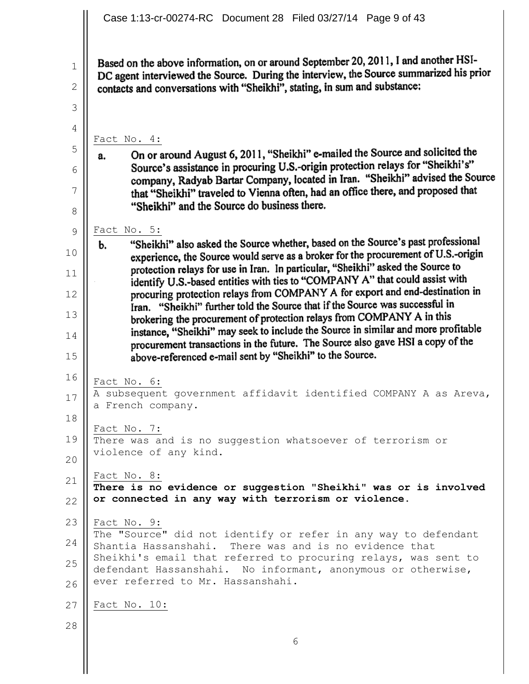Based on the above information, on or around September 20, 2011, I and another HSI-DC agent interviewed the Source. During the interview, the Source summarized his prior contacts and conversations with "Sheikhi", stating, in sum and substance:

Fact No. 4:

1

2

3

4

5

6

7

8

On or around August 6, 2011, "Sheikhi" e-mailed the Source and solicited the a. Source's assistance in procuring U.S.-origin protection relays for "Sheikhi's" company, Radyab Bartar Company, located in Iran. "Sheikhi" advised the Source that "Sheikhi" traveled to Vienna often, had an office there, and proposed that "Sheikhi" and the Source do business there.

 $\frac{\text{Fact No. 5:}}{\text{b}}$  "Sheikhi" also asked the Source whether, based on the Source's past professional 9 b. 10 experience, the Source would serve as a broker for the procurement of U.S.-origin protection relays for use in Iran. In particular, "Sheikhi" asked the Source to 11 identify U.S.-based entities with ties to "COMPANY A" that could assist with procuring protection relays from COMPANY A for export and end-destination in 12 Iran. "Sheikhi" further told the Source that if the Source was successful in brokering the procurement of protection relays from COMPANY A in this 13 instance, "Sheikhi" may seek to include the Source in similar and more profitable 14 procurement transactions in the future. The Source also gave HSI a copy of the above-referenced e-mail sent by "Sheikhi" to the Source. 15

16 17 Fact No. 6: A subsequent government affidavit identified COMPANY A as Areva, a French company.

18 19 Fact No. 7: There was and is no suggestion whatsoever of terrorism or violence of any kind.

21 Fact No. 8:

22 **There is no evidence or suggestion "Sheikhi" was or is involved or connected in any way with terrorism or violence.**

23 Fact No. 9:

24 25 26 The "Source" did not identify or refer in any way to defendant Shantia Hassanshahi. There was and is no evidence that Sheikhi's email that referred to procuring relays, was sent to defendant Hassanshahi. No informant, anonymous or otherwise, ever referred to Mr. Hassanshahi.

27 Fact No. 10:

28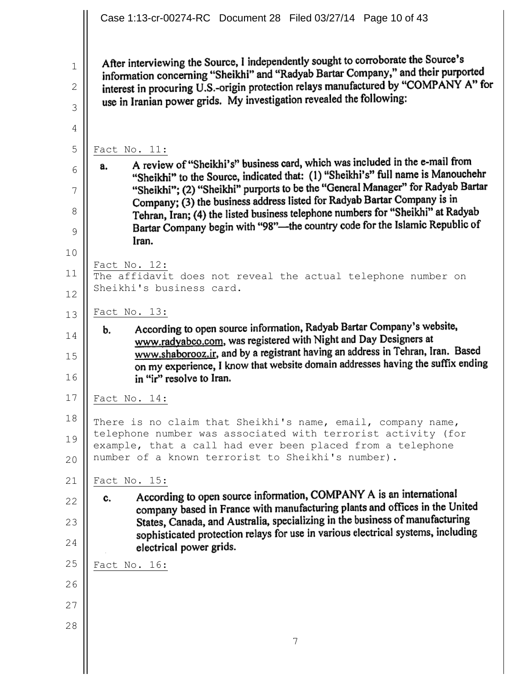After interviewing the Source, I independently sought to corroborate the Source's information concerning "Sheikhi" and "Radyab Bartar Company," and their purported interest in procuring U.S.-origin protection relays manufactured by "COMPANY A" for use in Iranian power grids. My investigation revealed the following:

1

2

3

4

5

6

7

8

9

10

11

12

 $\frac{\text{Fact No. 11:}}{\text{a.}}$  A review of "Sheikhi's" business card, which was included in the e-mail from a. "Sheikhi" to the Source, indicated that: (1) "Sheikhi's" full name is Manouchehr "Sheikhi"; (2) "Sheikhi" purports to be the "General Manager" for Radyab Bartar Company; (3) the business address listed for Radyab Bartar Company is in Tehran, Iran; (4) the listed business telephone numbers for "Sheikhi" at Radyab Bartar Company begin with "98"—the country code for the Islamic Republic of Iran.

Fact No. 12:

The affidavit does not reveal the actual telephone number on Sheikhi's business card.

13 Fact No. 13:

According to open source information, Radyab Bartar Company's website, b. www.radyabco.com, was registered with Night and Day Designers at 14 www.shaborooz.ir, and by a registrant having an address in Tehran, Iran. Based 15 on my experience, I know that website domain addresses having the suffix ending in "ir" resolve to Iran. 16

17 Fact No. 14:

18 19 20 There is no claim that Sheikhi's name, email, company name, telephone number was associated with terrorist activity (for example, that a call had ever been placed from a telephone number of a known terrorist to Sheikhi's number).

21

 $\frac{\text{Fact No. } 15:}{c.}$  According to open source information, COMPANY A is an international c. 22 company based in France with manufacturing plants and offices in the United States, Canada, and Australia, specializing in the business of manufacturing 23 sophisticated protection relays for use in various electrical systems, including 24 electrical power grids.

7

25 Fact No. 16:

- 26
- 27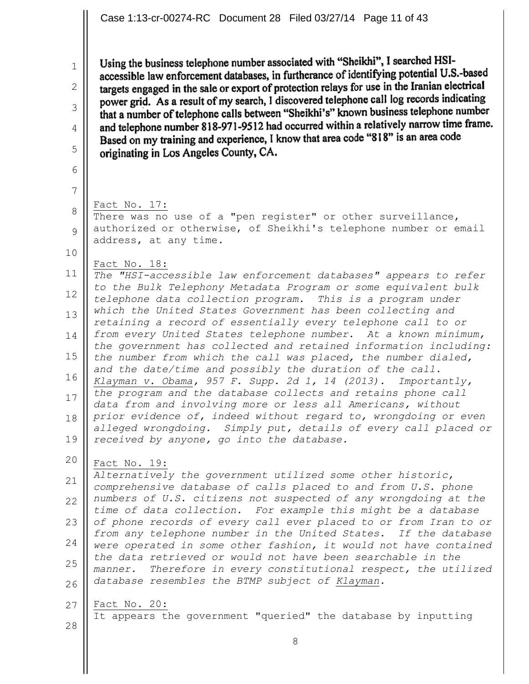Using the business telephone number associated with "Sheikhi", I searched HSIaccessible law enforcement databases, in furtherance of identifying potential U.S.-based targets engaged in the sale or export of protection relays for use in the Iranian electrical power grid. As a result of my search, I discovered telephone call log records indicating that a number of telephone calls between "Sheikhi's" known business telephone number and telephone number 818-971-9512 had occurred within a relatively narrow time frame. Based on my training and experience, I know that area code "818" is an area code originating in Los Angeles County, CA.

Fact No. 17:

There was no use of a "pen register" or other surveillance, authorized or otherwise, of Sheikhi's telephone number or email address, at any time.

10

1

2

3

4

5

6

7

8

9

Fact No. 18:

11 12 13 14 15 16 17 18 19 *The "HSI-accessible law enforcement databases" appears to refer to the Bulk Telephony Metadata Program or some equivalent bulk telephone data collection program. This is a program under which the United States Government has been collecting and retaining a record of essentially every telephone call to or from every United States telephone number. At a known minimum, the government has collected and retained information including: the number from which the call was placed, the number dialed, and the date/time and possibly the duration of the call. Klayman v. Obama, 957 F. Supp. 2d 1, 14 (2013). Importantly, the program and the database collects and retains phone call data from and involving more or less all Americans, without prior evidence of, indeed without regard to, wrongdoing or even alleged wrongdoing. Simply put, details of every call placed or received by anyone, go into the database.*

20 Fact No. 19:

21 22 23 24 25 26 *Alternatively the government utilized some other historic, comprehensive database of calls placed to and from U.S. phone numbers of U.S. citizens not suspected of any wrongdoing at the time of data collection. For example this might be a database of phone records of every call ever placed to or from Iran to or from any telephone number in the United States. If the database were operated in some other fashion, it would not have contained the data retrieved or would not have been searchable in the manner. Therefore in every constitutional respect, the utilized database resembles the BTMP subject of Klayman.*

27 Fact No. 20:

28

It appears the government "queried" the database by inputting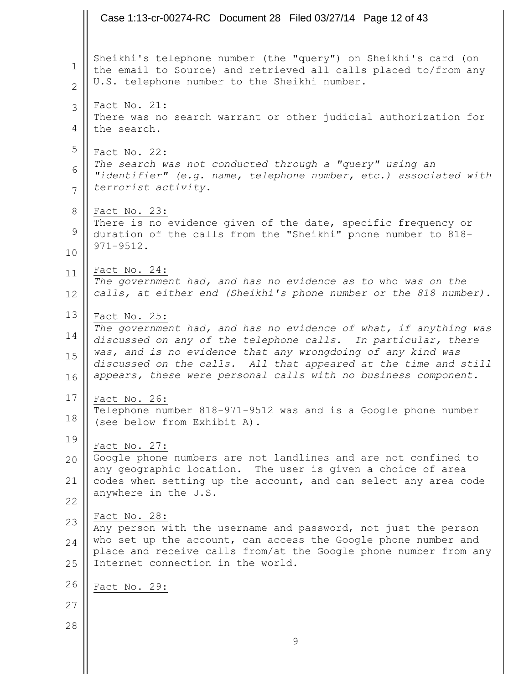|                          | Case 1:13-cr-00274-RC Document 28 Filed 03/27/14 Page 12 of 43                                                                                                                                                                                                                                                                                        |
|--------------------------|-------------------------------------------------------------------------------------------------------------------------------------------------------------------------------------------------------------------------------------------------------------------------------------------------------------------------------------------------------|
| 1<br>$\overline{2}$      | Sheikhi's telephone number (the "query") on Sheikhi's card (on<br>the email to Source) and retrieved all calls placed to/from any<br>U.S. telephone number to the Sheikhi number.                                                                                                                                                                     |
| 3<br>4                   | Fact No. 21:<br>There was no search warrant or other judicial authorization for<br>the search.                                                                                                                                                                                                                                                        |
| 5<br>6<br>7              | Fact No. 22:<br>The search was not conducted through a "query" using an<br>"identifier" (e.g. name, telephone number, etc.) associated with<br>terrorist activity.                                                                                                                                                                                    |
| 8<br>$\mathcal{G}$<br>10 | Fact No. 23:<br>There is no evidence given of the date, specific frequency or<br>duration of the calls from the "Sheikhi" phone number to 818-<br>$971 - 9512.$                                                                                                                                                                                       |
| 11<br>12                 | Fact No. 24:<br>The government had, and has no evidence as to who was on the<br>calls, at either end (Sheikhi's phone number or the 818 number).                                                                                                                                                                                                      |
| 13<br>14<br>15<br>16     | Fact No. 25:<br>The government had, and has no evidence of what, if anything was<br>discussed on any of the telephone calls. In particular, there<br>was, and is no evidence that any wrongdoing of any kind was<br>discussed on the calls. All that appeared at the time and still<br>appears, these were personal calls with no business component. |
| 17<br>18                 | Fact No. 26:<br>Telephone number 818-971-9512 was and is a Google phone number<br>(see below from Exhibit A).                                                                                                                                                                                                                                         |
| 19<br>20<br>21<br>22     | Fact No. 27:<br>Google phone numbers are not landlines and are not confined to<br>any geographic location. The user is given a choice of area<br>codes when setting up the account, and can select any area code<br>anywhere in the U.S.                                                                                                              |
| 23<br>24<br>25           | Fact No. 28:<br>Any person with the username and password, not just the person<br>who set up the account, can access the Google phone number and<br>place and receive calls from/at the Google phone number from any<br>Internet connection in the world.                                                                                             |
| 26                       | Fact No. 29:                                                                                                                                                                                                                                                                                                                                          |
| 27                       |                                                                                                                                                                                                                                                                                                                                                       |
| 28                       | 9                                                                                                                                                                                                                                                                                                                                                     |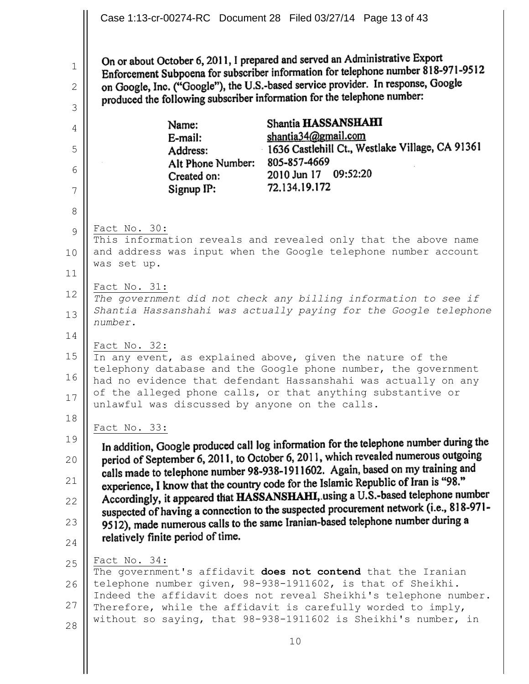|                                   | Case 1:13-cr-00274-RC Document 28 Filed 03/27/14 Page 13 of 43                                                                                                                                                                                                                                                                                                                                                                                                                                                                                                                                                                                       |  |  |  |  |  |
|-----------------------------------|------------------------------------------------------------------------------------------------------------------------------------------------------------------------------------------------------------------------------------------------------------------------------------------------------------------------------------------------------------------------------------------------------------------------------------------------------------------------------------------------------------------------------------------------------------------------------------------------------------------------------------------------------|--|--|--|--|--|
| $\mathbf{1}$<br>$\mathbf{2}$<br>3 | On or about October 6, 2011, I prepared and served an Administrative Export<br>Enforcement Subpoena for subscriber information for telephone number 818-971-9512<br>on Google, Inc. ("Google"), the U.S.-based service provider. In response, Google<br>produced the following subscriber information for the telephone number:                                                                                                                                                                                                                                                                                                                      |  |  |  |  |  |
| 4<br>5<br>6<br>7<br>8             | Shantia HASSANSHAHI<br>Name:<br>shantia34@gmail.com<br>E-mail:<br>1636 Castlehill Ct., Westlake Village, CA 91361<br>Address:<br>Alt Phone Number: 805-857-4669<br>2010 Jun 17 09:52:20<br>Created on:<br>72.134.19.172<br>Signup IP:                                                                                                                                                                                                                                                                                                                                                                                                                |  |  |  |  |  |
| 9<br>10<br>11                     | Fact No. 30:<br>This information reveals and revealed only that the above name<br>and address was input when the Google telephone number account<br>was set up.                                                                                                                                                                                                                                                                                                                                                                                                                                                                                      |  |  |  |  |  |
| 12<br>13<br>14                    | Fact No. 31:<br>The government did not check any billing information to see if<br>Shantia Hassanshahi was actually paying for the Google telephone<br>number.                                                                                                                                                                                                                                                                                                                                                                                                                                                                                        |  |  |  |  |  |
| 15<br>16<br>17                    | Fact No. 32:<br>In any event, as explained above, given the nature of the<br>telephony database and the Google phone number, the government<br>had no evidence that defendant Hassanshahi was actually on any<br>of the alleged phone calls, or that anything substantive or<br>unlawful was discussed by anyone on the calls.                                                                                                                                                                                                                                                                                                                       |  |  |  |  |  |
| 18                                | Fact No. 33:                                                                                                                                                                                                                                                                                                                                                                                                                                                                                                                                                                                                                                         |  |  |  |  |  |
| 19<br>20<br>21<br>22<br>23<br>24  | In addition, Google produced call log information for the telephone number during the<br>period of September 6, 2011, to October 6, 2011, which revealed numerous outgoing<br>calls made to telephone number 98-938-1911602. Again, based on my training and<br>experience, I know that the country code for the Islamic Republic of Iran is "98."<br>Accordingly, it appeared that HASSANSHAHI, using a U.S.-based telephone number<br>suspected of having a connection to the suspected procurement network (i.e., 818-971-<br>9512), made numerous calls to the same Iranian-based telephone number during a<br>relatively finite period of time. |  |  |  |  |  |
| 25<br>26<br>27<br>28              | Fact No. 34:<br>The government's affidavit does not contend that the Iranian<br>telephone number given, 98-938-1911602, is that of Sheikhi.<br>Indeed the affidavit does not reveal Sheikhi's telephone number.<br>Therefore, while the affidavit is carefully worded to imply,<br>without so saying, that 98-938-1911602 is Sheikhi's number, in                                                                                                                                                                                                                                                                                                    |  |  |  |  |  |
|                                   | 10                                                                                                                                                                                                                                                                                                                                                                                                                                                                                                                                                                                                                                                   |  |  |  |  |  |

 $\begin{array}{c} \hline \end{array}$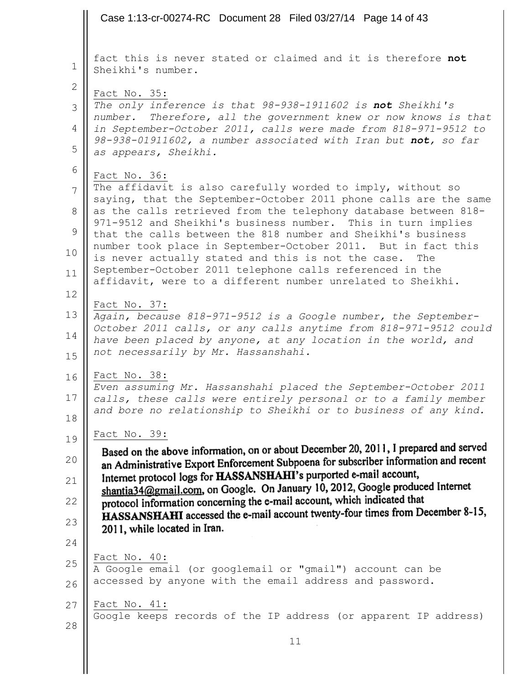Case 1:13-cr-00274-RC Document 28 Filed 03/27/14 Page 14 of 43fact this is never stated or claimed and it is therefore **not** 1 Sheikhi's number. 2 Fact No. 35: *The only inference is that 98-938-1911602 is not Sheikhi's*  3 *number. Therefore, all the government knew or now knows is that*  4 *in September-October 2011, calls were made from 818-971-9512 to 98-938-01911602, a number associated with Iran but not, so far*  5 *as appears, Sheikhi.* 6 Fact No. 36: The affidavit is also carefully worded to imply, without so 7 saying, that the September-October 2011 phone calls are the same as the calls retrieved from the telephony database between 818- 8 971-9512 and Sheikhi's business number. This in turn implies 9 that the calls between the 818 number and Sheikhi's business number took place in September-October 2011. But in fact this 10 is never actually stated and this is not the case. The September-October 2011 telephone calls referenced in the 11 affidavit, were to a different number unrelated to Sheikhi. 12 Fact No. 37: 13 *Again, because 818-971-9512 is a Google number, the September-October 2011 calls, or any calls anytime from 818-971-9512 could*  14 *have been placed by anyone, at any location in the world, and not necessarily by Mr. Hassanshahi.* 15 Fact No. 38: 16 *Even assuming Mr. Hassanshahi placed the September-October 2011* 17 *calls, these calls were entirely personal or to a family member and bore no relationship to Sheikhi or to business of any kind.* 18  $\frac{\text{Fact No. 39:}}{\text{Based on the above information, on or about December 20, 2011, I prepared and served}}$ 19 an Administrative Export Enforcement Subpoena for subscriber information and recent 20 Internet protocol logs for HASSANSHAHI's purported e-mail account, 21 shantia34@gmail.com, on Google. On January 10, 2012, Google produced Internet protocol information concerning the e-mail account, which indicated that 22 HASSANSHAHI accessed the e-mail account twenty-four times from December 8-15, 23 2011, while located in Iran. 24 Fact No. 40: 25 A Google email (or googlemail or "gmail") account can be accessed by anyone with the email address and password. 26 27 Fact No. 41: Google keeps records of the IP address (or apparent IP address) 28 11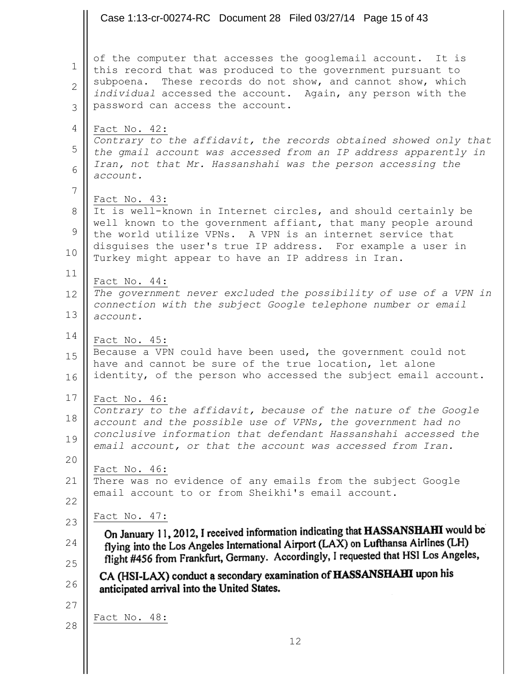Case 1:13-cr-00274-RC Document 28 Filed 03/27/14 Page 15 of 43

of the computer that accesses the googlemail account. It is 1 this record that was produced to the government pursuant to subpoena. These records do not show, and cannot show, which 2 *individual* accessed the account. Again, any person with the password can access the account. 3 4 Fact No. 42: *Contrary to the affidavit, the records obtained showed only that* 5 *the gmail account was accessed from an IP address apparently in Iran, not that Mr. Hassanshahi was the person accessing the*  6 *account.* 7 Fact No. 43: It is well-known in Internet circles, and should certainly be 8 well known to the government affiant, that many people around 9 the world utilize VPNs. A VPN is an internet service that disguises the user's true IP address. For example a user in 10 Turkey might appear to have an IP address in Iran. 11 Fact No. 44: *The government never excluded the possibility of use of a VPN in*  12 *connection with the subject Google telephone number or email*  13 *account.* 14 Fact No. 45: Because a VPN could have been used, the government could not 15 have and cannot be sure of the true location, let alone identity, of the person who accessed the subject email account. 16 17 Fact No. 46: *Contrary to the affidavit, because of the nature of the Google*  18 *account and the possible use of VPNs, the government had no conclusive information that defendant Hassanshahi accessed the*  19 *email account, or that the account was accessed from Iran.* 20 Fact No. 46: There was no evidence of any emails from the subject Google 21 email account to or from Sheikhi's email account. 22 Fact No. 47: 23 On January 11, 2012, I received information indicating that HASSANSHAHI would be flying into the Los Angeles International Airport (LAX) on Lufthansa Airlines (LH) 24 flight #456 from Frankfurt, Germany. Accordingly, I requested that HSI Los Angeles, 25 CA (HSI-LAX) conduct a secondary examination of HASSANSHAHI upon his 26 anticipated arrival into the United States. 27 Fact No. 48: 28 12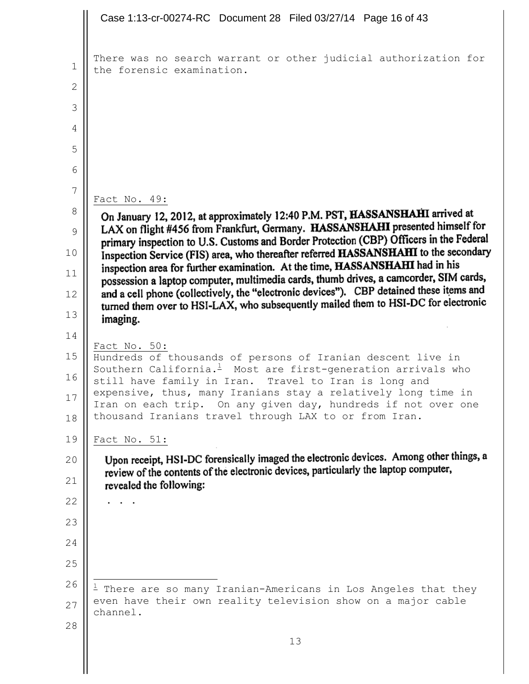```
Case 1:13-cr-00274-RC Document 28 Filed 03/27/14 Page 16 of 43There was no search warrant or other judicial authorization for 
 1
     the forensic examination.
 2
 3
 4
 5
 6
 7
     Fact No. 49:
 8
      On January 12, 2012, at approximately 12:40 P.M. PST, HASSANSHAHI arrived at
      LAX on flight #456 from Frankfurt, Germany. HASSANSHAHI presented himself for
 9
      primary inspection to U.S. Customs and Border Protection (CBP) Officers in the Federal
      Inspection Service (FIS) area, who thereafter referred HASSANSHAHI to the secondary
10
      inspection area for further examination. At the time, HASSANSHAHI had in his
11
      possession a laptop computer, multimedia cards, thumb drives, a camcorder, SIM cards,
      and a cell phone (collectively, the "electronic devices"). CBP detained these items and
12
      turned them over to HSI-LAX, who subsequently mailed them to HSI-DC for electronic
13
       imaging.
14
     Fact No. 50:
15
     Hundreds of thousands of persons of Iranian descent live in 
     Southern California.^1 Most are first-generation arrivals who
16
     still have family in Iran. Travel to Iran is long and 
     expensive, thus, many Iranians stay a relatively long time in 
17
     Iran on each trip. On any given day, hundreds if not over one 
     thousand Iranians travel through LAX to or from Iran. 
18
19
     Fact No. 51:
       Upon receipt, HSI-DC forensically imaged the electronic devices. Among other things, a
20
       review of the contents of the electronic devices, particularly the laptop computer,
21
       revealed the following:
22
      . . .
23
24
25
     \mathbf{r}26
     ^{\rm 1} There are so many Iranian-Americans in Los Angeles that they
     even have their own reality television show on a major cable 
27
     channel.
28
                                           13
```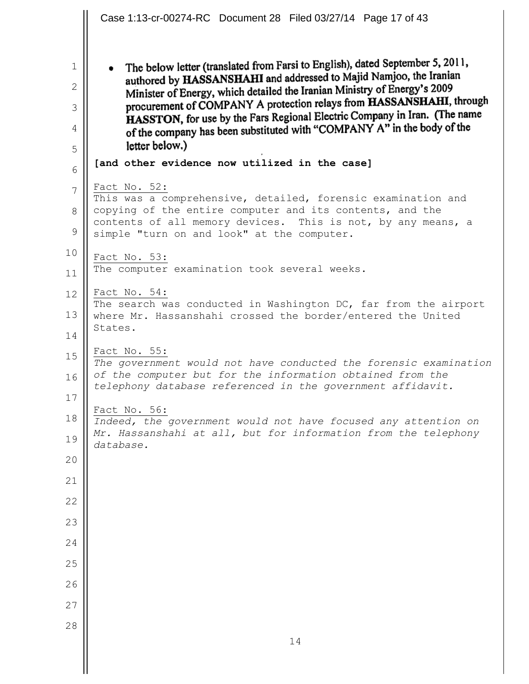Case 1:13-cr-00274-RC Document 28 Filed 03/27/14 Page 17 of 43The below letter (translated from Farsi to English), dated September 5, 2011, 1  $\bullet$ authored by HASSANSHAHI and addressed to Majid Namjoo, the Iranian Minister of Energy, which detailed the Iranian Ministry of Energy's 2009 2 procurement of COMPANY A protection relays from HASSANSHAHI, through 3 HASSTON, for use by the Fars Regional Electric Company in Iran. (The name of the company has been substituted with "COMPANY A" in the body of the 4 letter below.) 5 **[and other evidence now utilized in the case]** 6 Fact No. 52: 7 This was a comprehensive, detailed, forensic examination and copying of the entire computer and its contents, and the 8 contents of all memory devices. This is not, by any means, a 9 simple "turn on and look" at the computer. 10 Fact No. 53: The computer examination took several weeks. 11 Fact No. 54: 12 The search was conducted in Washington DC, far from the airport 13 where Mr. Hassanshahi crossed the border/entered the United States. 14 Fact No. 55: 15 *The government would not have conducted the forensic examination of the computer but for the information obtained from the*  16 *telephony database referenced in the government affidavit.* 17 Fact No. 56: 18 *Indeed, the government would not have focused any attention on Mr. Hassanshahi at all, but for information from the telephony*  19 *database.* 20 21 22 23 24 25 26 27 28 14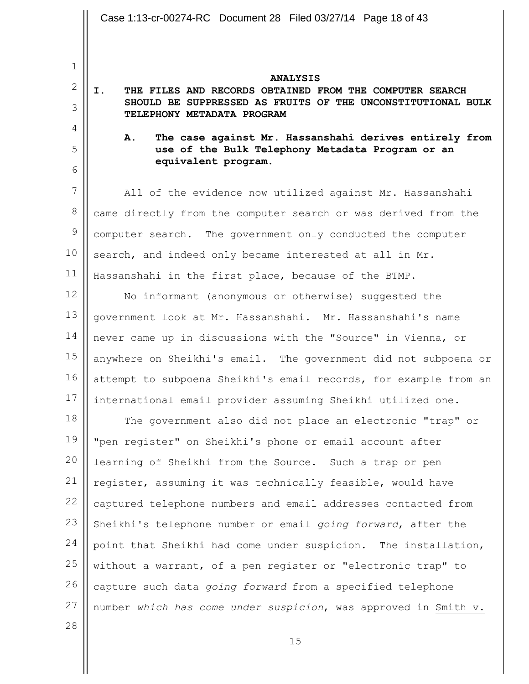1 2 3 4 5 6 7 8 9 10 11 12 13 14 15 16 17 18 19 20 21 22 23 24 25 26 **ANALYSIS I. THE FILES AND RECORDS OBTAINED FROM THE COMPUTER SEARCH SHOULD BE SUPPRESSED AS FRUITS OF THE UNCONSTITUTIONAL BULK TELEPHONY METADATA PROGRAM A. The case against Mr. Hassanshahi derives entirely from use of the Bulk Telephony Metadata Program or an equivalent program.** All of the evidence now utilized against Mr. Hassanshahi came directly from the computer search or was derived from the computer search. The government only conducted the computer search, and indeed only became interested at all in Mr. Hassanshahi in the first place, because of the BTMP. No informant (anonymous or otherwise) suggested the government look at Mr. Hassanshahi. Mr. Hassanshahi's name never came up in discussions with the "Source" in Vienna, or anywhere on Sheikhi's email. The government did not subpoena or attempt to subpoena Sheikhi's email records, for example from an international email provider assuming Sheikhi utilized one. The government also did not place an electronic "trap" or "pen register" on Sheikhi's phone or email account after learning of Sheikhi from the Source. Such a trap or pen register, assuming it was technically feasible, would have captured telephone numbers and email addresses contacted from Sheikhi's telephone number or email *going forward*, after the point that Sheikhi had come under suspicion. The installation, without a warrant, of a pen register or "electronic trap" to Case 1:13-cr-00274-RC Document 28 Filed 03/27/14 Page 18 of 43

28

27

15

number *which has come under suspicion*, was approved in Smith v.

capture such data *going forward* from a specified telephone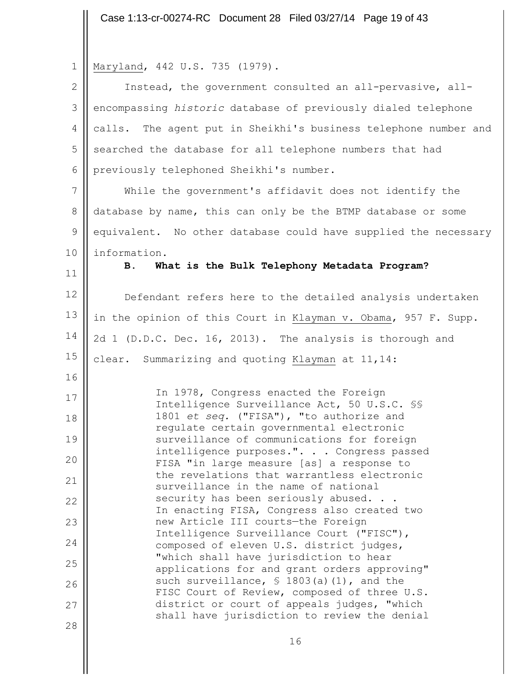Case 1:13-cr-00274-RC Document 28 Filed 03/27/14 Page 19 of 43

|  |  | $1 \parallel \text{Maryland}, 442 \text{ U.S. } 735 (1979).$ |  |  |  |  |
|--|--|--------------------------------------------------------------|--|--|--|--|
|--|--|--------------------------------------------------------------|--|--|--|--|

 $\mathbb{I}$ 

| $\mathbf{2}$    | Instead, the government consulted an all-pervasive, all-                                     |
|-----------------|----------------------------------------------------------------------------------------------|
| 3               | encompassing historic database of previously dialed telephone                                |
| 4               | calls. The agent put in Sheikhi's business telephone number and                              |
| 5               | searched the database for all telephone numbers that had                                     |
| 6               | previously telephoned Sheikhi's number.                                                      |
| $7\phantom{.0}$ | While the government's affidavit does not identify the                                       |
| 8               | database by name, this can only be the BTMP database or some                                 |
| $\mathsf 9$     | equivalent. No other database could have supplied the necessary                              |
| 10              | information.                                                                                 |
| 11              | What is the Bulk Telephony Metadata Program?<br>В.                                           |
| 12              | Defendant refers here to the detailed analysis undertaken                                    |
| 13              | in the opinion of this Court in Klayman v. Obama, 957 F. Supp.                               |
| 14              | 2d 1 (D.D.C. Dec. 16, 2013). The analysis is thorough and                                    |
| 15              | clear. Summarizing and quoting Klayman at 11,14:                                             |
| 16              |                                                                                              |
| 17              | In 1978, Congress enacted the Foreign<br>Intelligence Surveillance Act, 50 U.S.C. SS         |
| 18              | 1801 et seq. ("FISA"), "to authorize and<br>regulate certain governmental electronic         |
| 19              | surveillance of communications for foreign                                                   |
| 20              | intelligence purposes.". Congress passed<br>FISA "in large measure [as] a response to        |
| 21              | the revelations that warrantless electronic<br>surveillance in the name of national          |
| 22              | security has been seriously abused.<br>In enacting FISA, Congress also created two           |
| 23              | new Article III courts-the Foreign                                                           |
| 24              | Intelligence Surveillance Court ("FISC"),<br>composed of eleven U.S. district judges,        |
| 25              | "which shall have jurisdiction to hear<br>applications for and grant orders approving"       |
| 26              | such surveillance, $$ 1803(a) (1)$ , and the<br>FISC Court of Review, composed of three U.S. |
| 27              | district or court of appeals judges, "which                                                  |
| 28              | shall have jurisdiction to review the denial                                                 |
|                 | 16                                                                                           |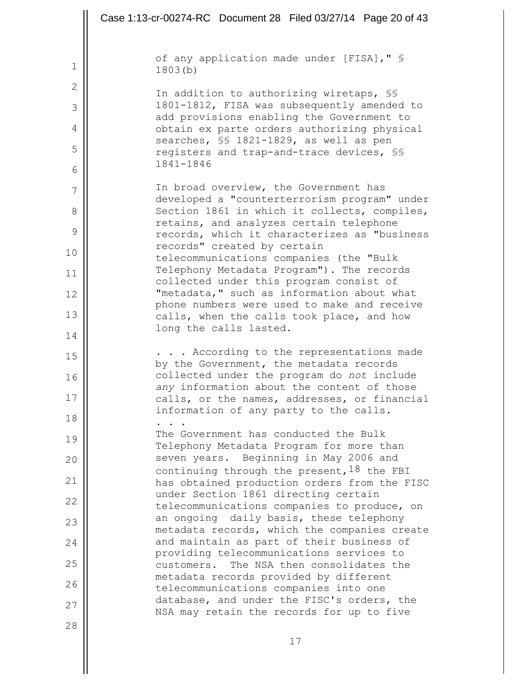|    | Case 1:13-cr-00274-RC Document 28 Filed 03/27/14 Page 20 of 43                               |
|----|----------------------------------------------------------------------------------------------|
|    | of any application made under [FISA], " §                                                    |
| 1  | 1803(b)                                                                                      |
| 2  | In addition to authorizing wiretaps, SS                                                      |
| 3  | 1801-1812, FISA was subsequently amended to<br>add provisions enabling the Government to     |
| 4  | obtain ex parte orders authorizing physical                                                  |
| 5  | searches, SS 1821-1829, as well as pen<br>registers and trap-and-trace devices, SS           |
| 6  | 1841-1846                                                                                    |
| 7  | In broad overview, the Government has                                                        |
| 8  | developed a "counterterrorism program" under<br>Section 1861 in which it collects, compiles, |
| 9  | retains, and analyzes certain telephone<br>records, which it characterizes as "business      |
| 10 | records" created by certain<br>telecommunications companies (the "Bulk                       |
| 11 | Telephony Metadata Program"). The records<br>collected under this program consist of         |
| 12 | "metadata," such as information about what                                                   |
| 13 | phone numbers were used to make and receive<br>calls, when the calls took place, and how     |
| 14 | long the calls lasted.                                                                       |
| 15 | . According to the representations made                                                      |
| 16 | by the Government, the metadata records<br>collected under the program do not include        |
| 17 | any information about the content of those<br>calls, or the names, addresses, or financial   |
| 18 | information of any party to the calls.                                                       |
| 19 | The Government has conducted the Bulk<br>Telephony Metadata Program for more than            |
| 20 | seven years. Beginning in May 2006 and                                                       |
| 21 | continuing through the present, $18$ the FBI<br>has obtained production orders from the FISC |
| 22 | under Section 1861 directing certain<br>telecommunications companies to produce, on          |
| 23 | an ongoing daily basis, these telephony                                                      |
| 24 | metadata records, which the companies create<br>and maintain as part of their business of    |
| 25 | providing telecommunications services to<br>customers. The NSA then consolidates the         |
| 26 | metadata records provided by different<br>telecommunications companies into one              |
| 27 | database, and under the FISC's orders, the<br>NSA may retain the records for up to five      |
| 28 |                                                                                              |
|    | 17                                                                                           |

 $\parallel$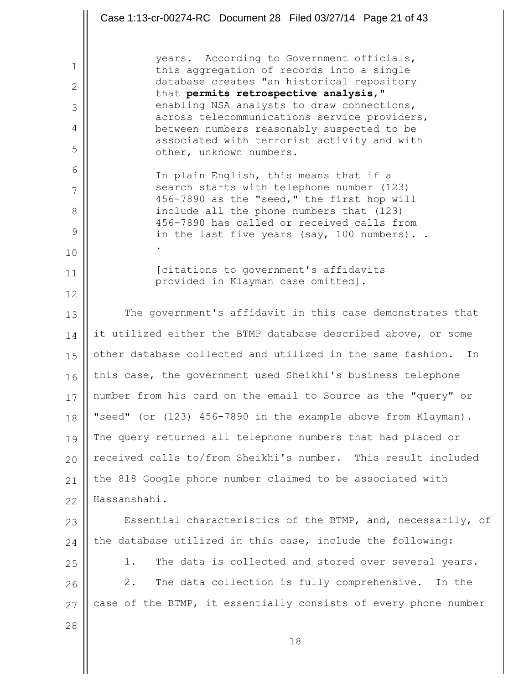|    | Case 1:13-cr-00274-RC Document 28 Filed 03/27/14 Page 21 of 43                             |
|----|--------------------------------------------------------------------------------------------|
|    |                                                                                            |
| 1  | years. According to Government officials,<br>this aggregation of records into a single     |
| 2  | database creates "an historical repository<br>that permits retrospective analysis, "       |
| 3  | enabling NSA analysts to draw connections,<br>across telecommunications service providers, |
| 4  | between numbers reasonably suspected to be                                                 |
| 5  | associated with terrorist activity and with<br>other, unknown numbers.                     |
| 6  | In plain English, this means that if a                                                     |
| 7  | search starts with telephone number (123)<br>456-7890 as the "seed," the first hop will    |
| 8  | include all the phone numbers that (123)<br>456-7890 has called or received calls from     |
| 9  | in the last five years (say, 100 numbers)                                                  |
| 10 |                                                                                            |
| 11 | [citations to government's affidavits<br>provided in Klayman case omitted].                |
| 12 |                                                                                            |
| 13 | The government's affidavit in this case demonstrates that                                  |
| 14 | it utilized either the BTMP database described above, or some                              |
| 15 | other database collected and utilized in the same fashion.<br>In                           |
| 16 | this case, the government used Sheikhi's business telephone                                |
| 17 | number from his card on the email to Source as the "query" or                              |
| 18 | "seed" (or (123) 456-7890 in the example above from Klayman).                              |
| 19 | The query returned all telephone numbers that had placed or                                |
| 20 | received calls to/from Sheikhi's number. This result included                              |
| 21 | the 818 Google phone number claimed to be associated with                                  |
| 22 | Hassanshahi.                                                                               |
| 23 | Essential characteristics of the BTMP, and, necessarily, of                                |
| 24 | the database utilized in this case, include the following:                                 |
| 25 | The data is collected and stored over several years.<br>1.                                 |
| 26 | 2.<br>The data collection is fully comprehensive.<br>In the                                |
| 27 | case of the BTMP, it essentially consists of every phone number                            |
| 28 |                                                                                            |
|    | 18                                                                                         |
|    |                                                                                            |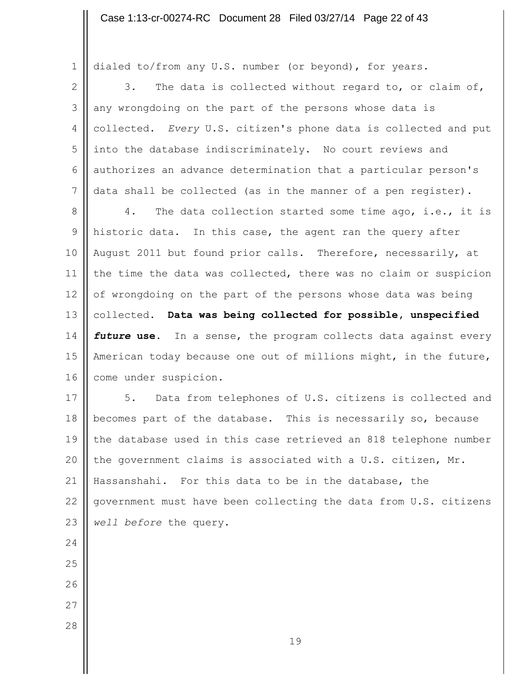dialed to/from any U.S. number (or beyond), for years.

2 3 4 5 6 7 3. The data is collected without regard to, or claim of, any wrongdoing on the part of the persons whose data is collected. *Every* U.S. citizen's phone data is collected and put into the database indiscriminately. No court reviews and authorizes an advance determination that a particular person's data shall be collected (as in the manner of a pen register).

8 9 10 11 12 13 14 15 16 4. The data collection started some time ago, i.e., it is historic data. In this case, the agent ran the query after August 2011 but found prior calls. Therefore, necessarily, at the time the data was collected, there was no claim or suspicion of wrongdoing on the part of the persons whose data was being collected. **Data was being collected for possible, unspecified**  *future* **use.** In a sense, the program collects data against every American today because one out of millions might, in the future, come under suspicion.

17 18 19 20 21 22 23 5. Data from telephones of U.S. citizens is collected and becomes part of the database. This is necessarily so, because the database used in this case retrieved an 818 telephone number the government claims is associated with a U.S. citizen, Mr. Hassanshahi. For this data to be in the database, the government must have been collecting the data from U.S. citizens *well before* the query.

24 25

- 
- 26
- 27
- 28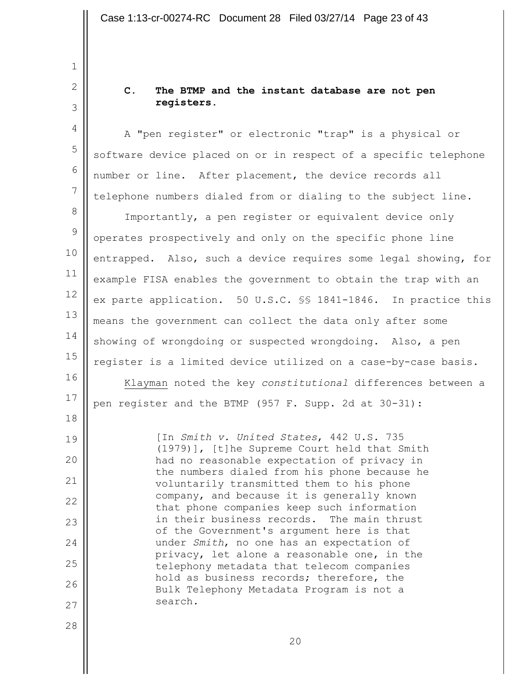**C. The BTMP and the instant database are not pen registers.**

A "pen register" or electronic "trap" is a physical or software device placed on or in respect of a specific telephone number or line. After placement, the device records all telephone numbers dialed from or dialing to the subject line.

8 9 10 11 12 13 14 15 16 17 Importantly, a pen register or equivalent device only operates prospectively and only on the specific phone line entrapped. Also, such a device requires some legal showing, for example FISA enables the government to obtain the trap with an ex parte application. 50 U.S.C. §§ 1841-1846. In practice this means the government can collect the data only after some showing of wrongdoing or suspected wrongdoing. Also, a pen register is a limited device utilized on a case-by-case basis. Klayman noted the key *constitutional* differences between a pen register and the BTMP (957 F. Supp. 2d at 30-31):

> [In *Smith v. United States*, 442 U.S. 735 (1979)], [t]he Supreme Court held that Smith had no reasonable expectation of privacy in the numbers dialed from his phone because he voluntarily transmitted them to his phone company, and because it is generally known that phone companies keep such information in their business records. The main thrust of the Government's argument here is that under *Smith*, no one has an expectation of privacy, let alone a reasonable one, in the telephony metadata that telecom companies hold as business records; therefore, the Bulk Telephony Metadata Program is not a search.

28

18

19

20

21

22

23

24

25

26

27

1

2

3

4

5

6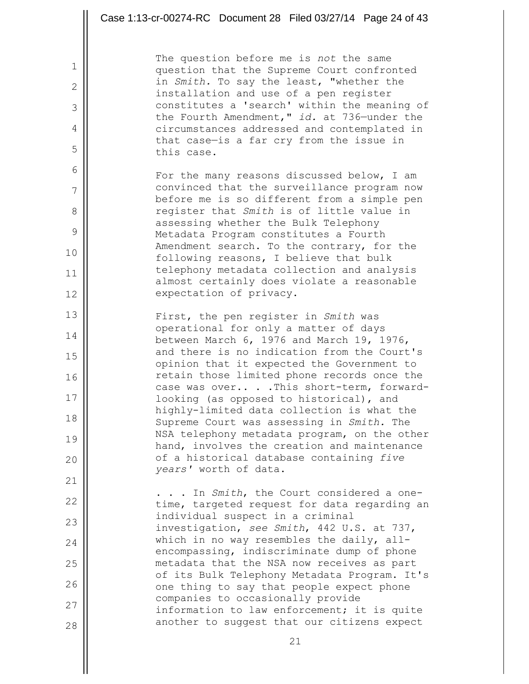| The question before me is not the same<br>$\mathbf 1$<br>question that the Supreme Court confronted<br>in Smith. To say the least, "whether the<br>$\overline{2}$<br>installation and use of a pen register<br>constitutes a 'search' within the meaning of<br>3<br>the Fourth Amendment," id. at 736-under the<br>4<br>circumstances addressed and contemplated in<br>that case-is a far cry from the issue in<br>5<br>this case.<br>6<br>For the many reasons discussed below, I am<br>convinced that the surveillance program now<br>7<br>before me is so different from a simple pen<br>register that Smith is of little value in<br>8<br>assessing whether the Bulk Telephony<br>9<br>Metadata Program constitutes a Fourth<br>Amendment search. To the contrary, for the<br>10<br>following reasons, I believe that bulk<br>telephony metadata collection and analysis<br>11<br>almost certainly does violate a reasonable<br>expectation of privacy.<br>12<br>13<br>First, the pen register in Smith was<br>operational for only a matter of days<br>14<br>between March 6, 1976 and March 19, 1976,<br>and there is no indication from the Court's<br>15<br>opinion that it expected the Government to<br>retain those limited phone records once the<br>16<br>case was overThis short-term, forward-<br>17<br>looking (as opposed to historical), and<br>highly-limited data collection is what the<br>18<br>Supreme Court was assessing in Smith. The<br>NSA telephony metadata program, on the other<br>19<br>hand, involves the creation and maintenance<br>of a historical database containing five<br>20<br>years' worth of data.<br>21<br>. . In Smith, the Court considered a one-<br>22<br>time, targeted request for data regarding an<br>individual suspect in a criminal<br>23<br>investigation, see Smith, 442 U.S. at 737,<br>which in no way resembles the daily, all-<br>24<br>encompassing, indiscriminate dump of phone<br>metadata that the NSA now receives as part<br>25<br>of its Bulk Telephony Metadata Program. It's<br>26<br>one thing to say that people expect phone<br>companies to occasionally provide<br>27<br>information to law enforcement; it is quite<br>another to suggest that our citizens expect<br>28 | Case 1:13-cr-00274-RC Document 28 Filed 03/27/14 Page 24 of 43 |
|---------------------------------------------------------------------------------------------------------------------------------------------------------------------------------------------------------------------------------------------------------------------------------------------------------------------------------------------------------------------------------------------------------------------------------------------------------------------------------------------------------------------------------------------------------------------------------------------------------------------------------------------------------------------------------------------------------------------------------------------------------------------------------------------------------------------------------------------------------------------------------------------------------------------------------------------------------------------------------------------------------------------------------------------------------------------------------------------------------------------------------------------------------------------------------------------------------------------------------------------------------------------------------------------------------------------------------------------------------------------------------------------------------------------------------------------------------------------------------------------------------------------------------------------------------------------------------------------------------------------------------------------------------------------------------------------------------------------------------------------------------------------------------------------------------------------------------------------------------------------------------------------------------------------------------------------------------------------------------------------------------------------------------------------------------------------------------------------------------------------------------------------------------------------------------------------------------------------------------------------------------|----------------------------------------------------------------|
|                                                                                                                                                                                                                                                                                                                                                                                                                                                                                                                                                                                                                                                                                                                                                                                                                                                                                                                                                                                                                                                                                                                                                                                                                                                                                                                                                                                                                                                                                                                                                                                                                                                                                                                                                                                                                                                                                                                                                                                                                                                                                                                                                                                                                                                         |                                                                |
|                                                                                                                                                                                                                                                                                                                                                                                                                                                                                                                                                                                                                                                                                                                                                                                                                                                                                                                                                                                                                                                                                                                                                                                                                                                                                                                                                                                                                                                                                                                                                                                                                                                                                                                                                                                                                                                                                                                                                                                                                                                                                                                                                                                                                                                         |                                                                |
|                                                                                                                                                                                                                                                                                                                                                                                                                                                                                                                                                                                                                                                                                                                                                                                                                                                                                                                                                                                                                                                                                                                                                                                                                                                                                                                                                                                                                                                                                                                                                                                                                                                                                                                                                                                                                                                                                                                                                                                                                                                                                                                                                                                                                                                         |                                                                |
|                                                                                                                                                                                                                                                                                                                                                                                                                                                                                                                                                                                                                                                                                                                                                                                                                                                                                                                                                                                                                                                                                                                                                                                                                                                                                                                                                                                                                                                                                                                                                                                                                                                                                                                                                                                                                                                                                                                                                                                                                                                                                                                                                                                                                                                         |                                                                |
|                                                                                                                                                                                                                                                                                                                                                                                                                                                                                                                                                                                                                                                                                                                                                                                                                                                                                                                                                                                                                                                                                                                                                                                                                                                                                                                                                                                                                                                                                                                                                                                                                                                                                                                                                                                                                                                                                                                                                                                                                                                                                                                                                                                                                                                         |                                                                |
|                                                                                                                                                                                                                                                                                                                                                                                                                                                                                                                                                                                                                                                                                                                                                                                                                                                                                                                                                                                                                                                                                                                                                                                                                                                                                                                                                                                                                                                                                                                                                                                                                                                                                                                                                                                                                                                                                                                                                                                                                                                                                                                                                                                                                                                         |                                                                |
|                                                                                                                                                                                                                                                                                                                                                                                                                                                                                                                                                                                                                                                                                                                                                                                                                                                                                                                                                                                                                                                                                                                                                                                                                                                                                                                                                                                                                                                                                                                                                                                                                                                                                                                                                                                                                                                                                                                                                                                                                                                                                                                                                                                                                                                         |                                                                |
|                                                                                                                                                                                                                                                                                                                                                                                                                                                                                                                                                                                                                                                                                                                                                                                                                                                                                                                                                                                                                                                                                                                                                                                                                                                                                                                                                                                                                                                                                                                                                                                                                                                                                                                                                                                                                                                                                                                                                                                                                                                                                                                                                                                                                                                         |                                                                |
|                                                                                                                                                                                                                                                                                                                                                                                                                                                                                                                                                                                                                                                                                                                                                                                                                                                                                                                                                                                                                                                                                                                                                                                                                                                                                                                                                                                                                                                                                                                                                                                                                                                                                                                                                                                                                                                                                                                                                                                                                                                                                                                                                                                                                                                         |                                                                |
|                                                                                                                                                                                                                                                                                                                                                                                                                                                                                                                                                                                                                                                                                                                                                                                                                                                                                                                                                                                                                                                                                                                                                                                                                                                                                                                                                                                                                                                                                                                                                                                                                                                                                                                                                                                                                                                                                                                                                                                                                                                                                                                                                                                                                                                         |                                                                |
|                                                                                                                                                                                                                                                                                                                                                                                                                                                                                                                                                                                                                                                                                                                                                                                                                                                                                                                                                                                                                                                                                                                                                                                                                                                                                                                                                                                                                                                                                                                                                                                                                                                                                                                                                                                                                                                                                                                                                                                                                                                                                                                                                                                                                                                         |                                                                |
|                                                                                                                                                                                                                                                                                                                                                                                                                                                                                                                                                                                                                                                                                                                                                                                                                                                                                                                                                                                                                                                                                                                                                                                                                                                                                                                                                                                                                                                                                                                                                                                                                                                                                                                                                                                                                                                                                                                                                                                                                                                                                                                                                                                                                                                         |                                                                |
|                                                                                                                                                                                                                                                                                                                                                                                                                                                                                                                                                                                                                                                                                                                                                                                                                                                                                                                                                                                                                                                                                                                                                                                                                                                                                                                                                                                                                                                                                                                                                                                                                                                                                                                                                                                                                                                                                                                                                                                                                                                                                                                                                                                                                                                         |                                                                |
|                                                                                                                                                                                                                                                                                                                                                                                                                                                                                                                                                                                                                                                                                                                                                                                                                                                                                                                                                                                                                                                                                                                                                                                                                                                                                                                                                                                                                                                                                                                                                                                                                                                                                                                                                                                                                                                                                                                                                                                                                                                                                                                                                                                                                                                         |                                                                |
|                                                                                                                                                                                                                                                                                                                                                                                                                                                                                                                                                                                                                                                                                                                                                                                                                                                                                                                                                                                                                                                                                                                                                                                                                                                                                                                                                                                                                                                                                                                                                                                                                                                                                                                                                                                                                                                                                                                                                                                                                                                                                                                                                                                                                                                         |                                                                |
|                                                                                                                                                                                                                                                                                                                                                                                                                                                                                                                                                                                                                                                                                                                                                                                                                                                                                                                                                                                                                                                                                                                                                                                                                                                                                                                                                                                                                                                                                                                                                                                                                                                                                                                                                                                                                                                                                                                                                                                                                                                                                                                                                                                                                                                         |                                                                |
|                                                                                                                                                                                                                                                                                                                                                                                                                                                                                                                                                                                                                                                                                                                                                                                                                                                                                                                                                                                                                                                                                                                                                                                                                                                                                                                                                                                                                                                                                                                                                                                                                                                                                                                                                                                                                                                                                                                                                                                                                                                                                                                                                                                                                                                         |                                                                |
|                                                                                                                                                                                                                                                                                                                                                                                                                                                                                                                                                                                                                                                                                                                                                                                                                                                                                                                                                                                                                                                                                                                                                                                                                                                                                                                                                                                                                                                                                                                                                                                                                                                                                                                                                                                                                                                                                                                                                                                                                                                                                                                                                                                                                                                         |                                                                |
|                                                                                                                                                                                                                                                                                                                                                                                                                                                                                                                                                                                                                                                                                                                                                                                                                                                                                                                                                                                                                                                                                                                                                                                                                                                                                                                                                                                                                                                                                                                                                                                                                                                                                                                                                                                                                                                                                                                                                                                                                                                                                                                                                                                                                                                         |                                                                |
|                                                                                                                                                                                                                                                                                                                                                                                                                                                                                                                                                                                                                                                                                                                                                                                                                                                                                                                                                                                                                                                                                                                                                                                                                                                                                                                                                                                                                                                                                                                                                                                                                                                                                                                                                                                                                                                                                                                                                                                                                                                                                                                                                                                                                                                         |                                                                |
|                                                                                                                                                                                                                                                                                                                                                                                                                                                                                                                                                                                                                                                                                                                                                                                                                                                                                                                                                                                                                                                                                                                                                                                                                                                                                                                                                                                                                                                                                                                                                                                                                                                                                                                                                                                                                                                                                                                                                                                                                                                                                                                                                                                                                                                         |                                                                |
|                                                                                                                                                                                                                                                                                                                                                                                                                                                                                                                                                                                                                                                                                                                                                                                                                                                                                                                                                                                                                                                                                                                                                                                                                                                                                                                                                                                                                                                                                                                                                                                                                                                                                                                                                                                                                                                                                                                                                                                                                                                                                                                                                                                                                                                         |                                                                |
|                                                                                                                                                                                                                                                                                                                                                                                                                                                                                                                                                                                                                                                                                                                                                                                                                                                                                                                                                                                                                                                                                                                                                                                                                                                                                                                                                                                                                                                                                                                                                                                                                                                                                                                                                                                                                                                                                                                                                                                                                                                                                                                                                                                                                                                         |                                                                |
|                                                                                                                                                                                                                                                                                                                                                                                                                                                                                                                                                                                                                                                                                                                                                                                                                                                                                                                                                                                                                                                                                                                                                                                                                                                                                                                                                                                                                                                                                                                                                                                                                                                                                                                                                                                                                                                                                                                                                                                                                                                                                                                                                                                                                                                         |                                                                |
|                                                                                                                                                                                                                                                                                                                                                                                                                                                                                                                                                                                                                                                                                                                                                                                                                                                                                                                                                                                                                                                                                                                                                                                                                                                                                                                                                                                                                                                                                                                                                                                                                                                                                                                                                                                                                                                                                                                                                                                                                                                                                                                                                                                                                                                         |                                                                |
|                                                                                                                                                                                                                                                                                                                                                                                                                                                                                                                                                                                                                                                                                                                                                                                                                                                                                                                                                                                                                                                                                                                                                                                                                                                                                                                                                                                                                                                                                                                                                                                                                                                                                                                                                                                                                                                                                                                                                                                                                                                                                                                                                                                                                                                         |                                                                |
|                                                                                                                                                                                                                                                                                                                                                                                                                                                                                                                                                                                                                                                                                                                                                                                                                                                                                                                                                                                                                                                                                                                                                                                                                                                                                                                                                                                                                                                                                                                                                                                                                                                                                                                                                                                                                                                                                                                                                                                                                                                                                                                                                                                                                                                         |                                                                |
| 21                                                                                                                                                                                                                                                                                                                                                                                                                                                                                                                                                                                                                                                                                                                                                                                                                                                                                                                                                                                                                                                                                                                                                                                                                                                                                                                                                                                                                                                                                                                                                                                                                                                                                                                                                                                                                                                                                                                                                                                                                                                                                                                                                                                                                                                      |                                                                |

Ш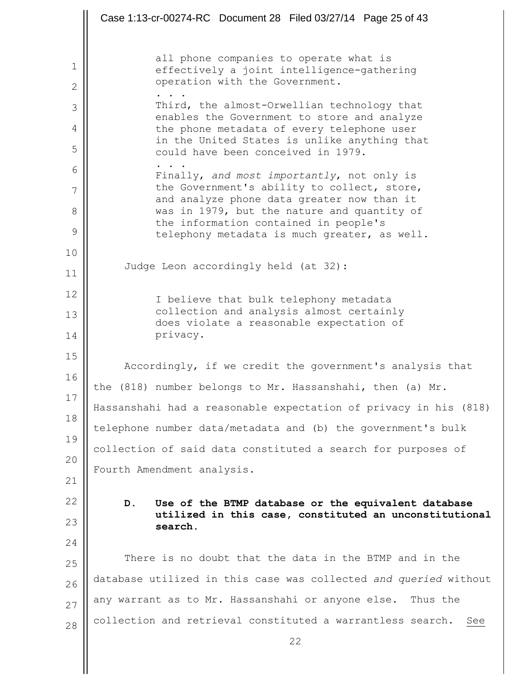22 1 2 3 4 5 6 7 8 9 10 11 12 13 14 15 16 17 18 19 20 21 22 23 24 25 26 27 28 all phone companies to operate what is effectively a joint intelligence-gathering operation with the Government. . . . Third, the almost-Orwellian technology that enables the Government to store and analyze the phone metadata of every telephone user in the United States is unlike anything that could have been conceived in 1979. . . . Finally, *and most importantly*, not only is the Government's ability to collect, store, and analyze phone data greater now than it was in 1979, but the nature and quantity of the information contained in people's telephony metadata is much greater, as well. Judge Leon accordingly held (at 32): I believe that bulk telephony metadata collection and analysis almost certainly does violate a reasonable expectation of privacy. Accordingly, if we credit the government's analysis that the (818) number belongs to Mr. Hassanshahi, then (a) Mr. Hassanshahi had a reasonable expectation of privacy in his (818) telephone number data/metadata and (b) the government's bulk collection of said data constituted a search for purposes of Fourth Amendment analysis. **D. Use of the BTMP database or the equivalent database utilized in this case, constituted an unconstitutional search.** There is no doubt that the data in the BTMP and in the database utilized in this case was collected *and queried* without any warrant as to Mr. Hassanshahi or anyone else. Thus the collection and retrieval constituted a warrantless search. See Case 1:13-cr-00274-RC Document 28 Filed 03/27/14 Page 25 of 43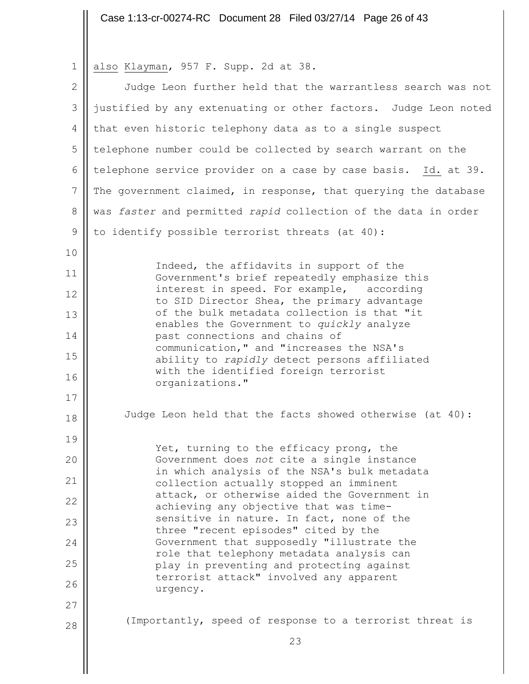|  |  |  | 1    <u>also Klayman</u> , 957 F. Supp. 2d at 38. |  |  |  |  |  |  |
|--|--|--|---------------------------------------------------|--|--|--|--|--|--|
|--|--|--|---------------------------------------------------|--|--|--|--|--|--|

 $\mathbb{I}$ 

| $\overline{2}$ | Judge Leon further held that the warrantless search was not                               |
|----------------|-------------------------------------------------------------------------------------------|
| 3              | justified by any extenuating or other factors. Judge Leon noted                           |
| 4              | that even historic telephony data as to a single suspect                                  |
| 5              | telephone number could be collected by search warrant on the                              |
| 6              | telephone service provider on a case by case basis. Id. at 39.                            |
| $7\phantom{.}$ | The government claimed, in response, that querying the database                           |
| $8\,$          | was faster and permitted rapid collection of the data in order                            |
| $\mathsf 9$    | to identify possible terrorist threats (at 40):                                           |
| 10             |                                                                                           |
| 11             | Indeed, the affidavits in support of the<br>Government's brief repeatedly emphasize this  |
| 12             | interest in speed. For example, according<br>to SID Director Shea, the primary advantage  |
| 13             | of the bulk metadata collection is that "it<br>enables the Government to quickly analyze  |
| 14             | past connections and chains of                                                            |
| 15             | communication, " and "increases the NSA's<br>ability to rapidly detect persons affiliated |
| 16             | with the identified foreign terrorist<br>organizations."                                  |
| 17             |                                                                                           |
| 18             | Judge Leon held that the facts showed otherwise (at 40):                                  |
| 19             | Yet, turning to the efficacy prong, the                                                   |
| 20             | Government does not cite a single instance                                                |
| 21             | in which analysis of the NSA's bulk metadata<br>collection actually stopped an imminent   |
| 22             | attack, or otherwise aided the Government in<br>achieving any objective that was time-    |
| 23             | sensitive in nature. In fact, none of the<br>three "recent episodes" cited by the         |
| 24             | Government that supposedly "illustrate the                                                |
| 25             | role that telephony metadata analysis can<br>play in preventing and protecting against    |
| 26             | terrorist attack" involved any apparent<br>urgency.                                       |
| 27             |                                                                                           |
| 28             | (Importantly, speed of response to a terrorist threat is                                  |
|                | 23                                                                                        |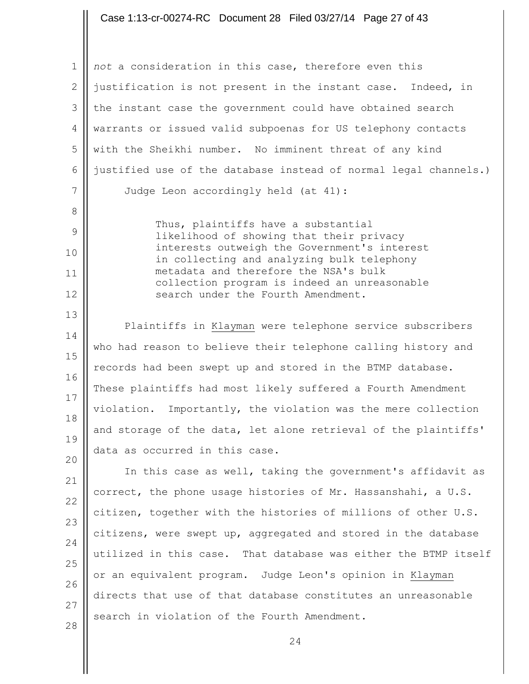#### Case 1:13-cr-00274-RC Document 28 Filed 03/27/14 Page 27 of 43

1 2 3 4 5 6 7 *not* a consideration in this case, therefore even this justification is not present in the instant case. Indeed, in the instant case the government could have obtained search warrants or issued valid subpoenas for US telephony contacts with the Sheikhi number. No imminent threat of any kind justified use of the database instead of normal legal channels.) Judge Leon accordingly held (at 41):

> Thus, plaintiffs have a substantial likelihood of showing that their privacy interests outweigh the Government's interest in collecting and analyzing bulk telephony metadata and therefore the NSA's bulk collection program is indeed an unreasonable search under the Fourth Amendment.

8

9

10

11

12

13

20

14 15 16 17 18 19 Plaintiffs in Klayman were telephone service subscribers who had reason to believe their telephone calling history and records had been swept up and stored in the BTMP database. These plaintiffs had most likely suffered a Fourth Amendment violation. Importantly, the violation was the mere collection and storage of the data, let alone retrieval of the plaintiffs' data as occurred in this case.

21 22 23 24 25 26 27 28 In this case as well, taking the government's affidavit as correct, the phone usage histories of Mr. Hassanshahi, a U.S. citizen, together with the histories of millions of other U.S. citizens, were swept up, aggregated and stored in the database utilized in this case. That database was either the BTMP itself or an equivalent program. Judge Leon's opinion in Klayman directs that use of that database constitutes an unreasonable search in violation of the Fourth Amendment.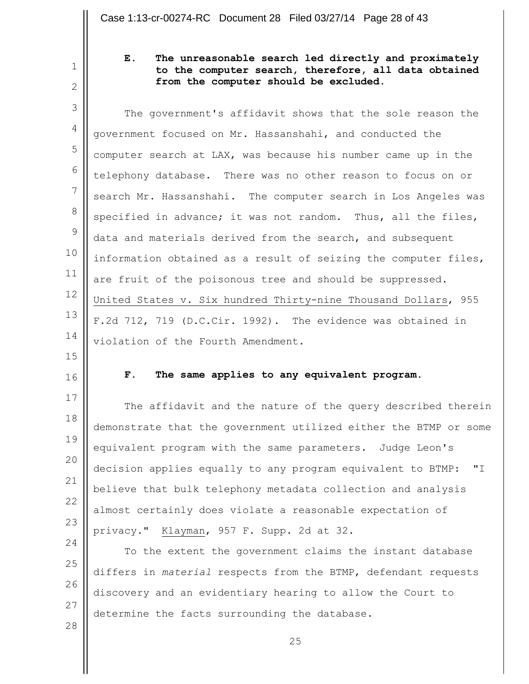2

1

### **E. The unreasonable search led directly and proximately to the computer search, therefore, all data obtained from the computer should be excluded.**

3 4 5 6 7 8 9 10 11 12 13 14 The government's affidavit shows that the sole reason the government focused on Mr. Hassanshahi, and conducted the computer search at LAX, was because his number came up in the telephony database. There was no other reason to focus on or search Mr. Hassanshahi. The computer search in Los Angeles was specified in advance; it was not random. Thus, all the files, data and materials derived from the search, and subsequent information obtained as a result of seizing the computer files, are fruit of the poisonous tree and should be suppressed. United States v. Six hundred Thirty-nine Thousand Dollars, 955 F.2d 712, 719 (D.C.Cir. 1992). The evidence was obtained in violation of the Fourth Amendment.

- 15
- 16

17

24

28

#### **F. The same applies to any equivalent program.**

18 19 20 21 22 23 The affidavit and the nature of the query described therein demonstrate that the government utilized either the BTMP or some equivalent program with the same parameters. Judge Leon's decision applies equally to any program equivalent to BTMP: "I believe that bulk telephony metadata collection and analysis almost certainly does violate a reasonable expectation of privacy." Klayman, 957 F. Supp. 2d at 32.

25 26 27 To the extent the government claims the instant database differs in *material* respects from the BTMP, defendant requests discovery and an evidentiary hearing to allow the Court to determine the facts surrounding the database.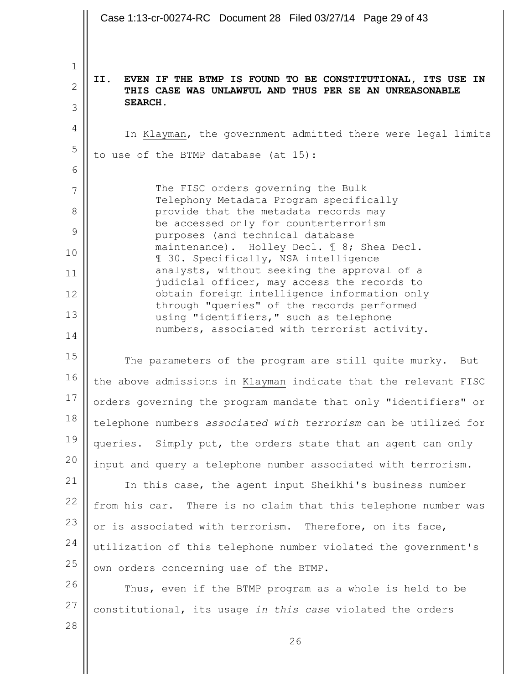26 1 2 3 4 5 6 7 8 9 10 11 12 13 14 15 16 17 18 19 20 21 22 23 24 25 26 27 28 **II. EVEN IF THE BTMP IS FOUND TO BE CONSTITUTIONAL, ITS USE IN THIS CASE WAS UNLAWFUL AND THUS PER SE AN UNREASONABLE SEARCH.** In Klayman, the government admitted there were legal limits to use of the BTMP database (at 15): The FISC orders governing the Bulk Telephony Metadata Program specifically provide that the metadata records may be accessed only for counterterrorism purposes (and technical database maintenance). Holley Decl. ¶ 8; Shea Decl. ¶ 30. Specifically, NSA intelligence analysts, without seeking the approval of a judicial officer, may access the records to obtain foreign intelligence information only through "queries" of the records performed using "identifiers," such as telephone numbers, associated with terrorist activity. The parameters of the program are still quite murky. But the above admissions in Klayman indicate that the relevant FISC orders governing the program mandate that only "identifiers" or telephone numbers *associated with terrorism* can be utilized for queries. Simply put, the orders state that an agent can only input and query a telephone number associated with terrorism. In this case, the agent input Sheikhi's business number from his car. There is no claim that this telephone number was or is associated with terrorism. Therefore, on its face, utilization of this telephone number violated the government's own orders concerning use of the BTMP. Thus, even if the BTMP program as a whole is held to be constitutional, its usage *in this case* violated the orders Case 1:13-cr-00274-RC Document 28 Filed 03/27/14 Page 29 of 43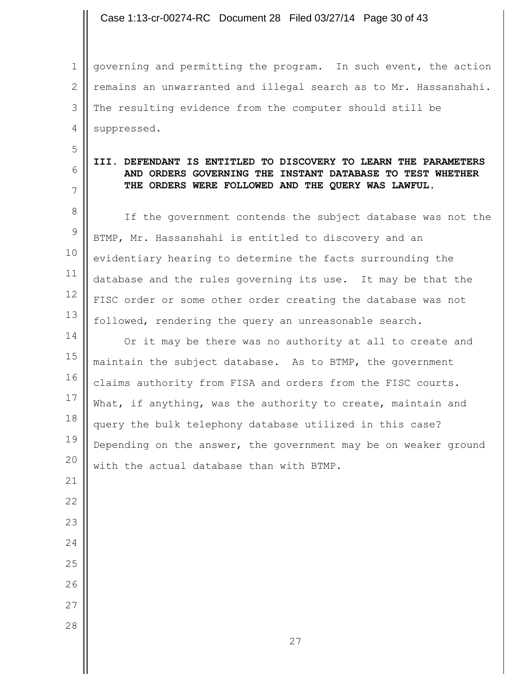Case 1:13-cr-00274-RC Document 28 Filed 03/27/14 Page 30 of 43

1 2 3 4 governing and permitting the program. In such event, the action remains an unwarranted and illegal search as to Mr. Hassanshahi. The resulting evidence from the computer should still be suppressed.

5

6 7

#### **III. DEFENDANT IS ENTITLED TO DISCOVERY TO LEARN THE PARAMETERS AND ORDERS GOVERNING THE INSTANT DATABASE TO TEST WHETHER THE ORDERS WERE FOLLOWED AND THE QUERY WAS LAWFUL.**

8 9 10 11 12 13 If the government contends the subject database was not the BTMP, Mr. Hassanshahi is entitled to discovery and an evidentiary hearing to determine the facts surrounding the database and the rules governing its use. It may be that the FISC order or some other order creating the database was not followed, rendering the query an unreasonable search.

14 15 16 17 18 19 20 Or it may be there was no authority at all to create and maintain the subject database. As to BTMP, the government claims authority from FISA and orders from the FISC courts. What, if anything, was the authority to create, maintain and query the bulk telephony database utilized in this case? Depending on the answer, the government may be on weaker ground with the actual database than with BTMP.

22 23 24

- 25 26
- 27
- 28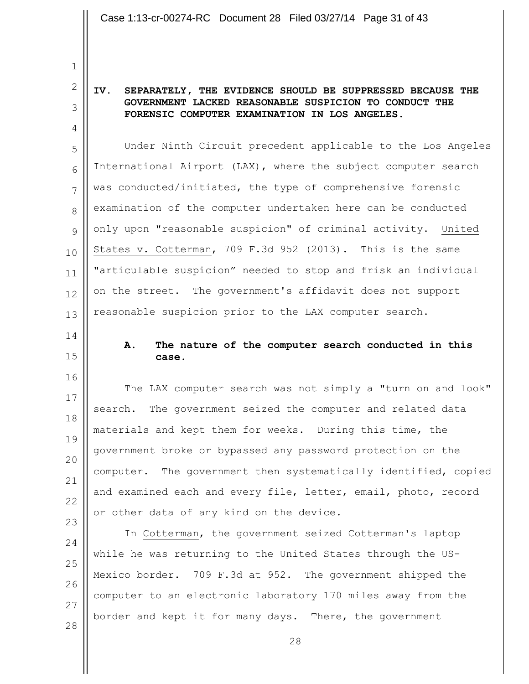**IV. SEPARATELY, THE EVIDENCE SHOULD BE SUPPRESSED BECAUSE THE GOVERNMENT LACKED REASONABLE SUSPICION TO CONDUCT THE FORENSIC COMPUTER EXAMINATION IN LOS ANGELES.**

5 6 7 8 9 10 11 12 13 Under Ninth Circuit precedent applicable to the Los Angeles International Airport (LAX), where the subject computer search was conducted/initiated, the type of comprehensive forensic examination of the computer undertaken here can be conducted only upon "reasonable suspicion" of criminal activity. United States v. Cotterman, 709 F.3d 952 (2013). This is the same "articulable suspicion" needed to stop and frisk an individual on the street. The government's affidavit does not support reasonable suspicion prior to the LAX computer search.

14

1

2

3

4

15

16

#### **A. The nature of the computer search conducted in this case.**

17 18 19 20 21 22 23 The LAX computer search was not simply a "turn on and look" search. The government seized the computer and related data materials and kept them for weeks. During this time, the government broke or bypassed any password protection on the computer. The government then systematically identified, copied and examined each and every file, letter, email, photo, record or other data of any kind on the device.

24 25 26 27 28 In Cotterman, the government seized Cotterman's laptop while he was returning to the United States through the US-Mexico border. 709 F.3d at 952. The government shipped the computer to an electronic laboratory 170 miles away from the border and kept it for many days. There, the government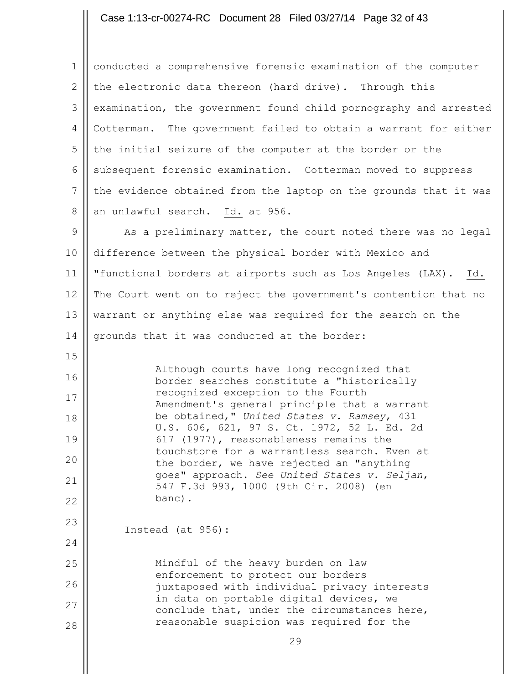# Case 1:13-cr-00274-RC Document 28 Filed 03/27/14 Page 32 of 43

| $\mathbf 1$    | conducted a comprehensive forensic examination of the computer                            |
|----------------|-------------------------------------------------------------------------------------------|
| $\mathbf{2}$   | the electronic data thereon (hard drive). Through this                                    |
| 3              | examination, the government found child pornography and arrested                          |
| 4              | Cotterman. The government failed to obtain a warrant for either                           |
| 5              | the initial seizure of the computer at the border or the                                  |
| 6              | subsequent forensic examination. Cotterman moved to suppress                              |
| $7\phantom{.}$ | the evidence obtained from the laptop on the grounds that it was                          |
| $8\,$          | an unlawful search. Id. at 956.                                                           |
| 9              | As a preliminary matter, the court noted there was no legal                               |
| 10             | difference between the physical border with Mexico and                                    |
| 11             | "functional borders at airports such as Los Angeles (LAX).<br>Id.                         |
| 12             | The Court went on to reject the government's contention that no                           |
| 13             | warrant or anything else was required for the search on the                               |
| 14             | grounds that it was conducted at the border:                                              |
| 15             |                                                                                           |
| 16             | Although courts have long recognized that<br>border searches constitute a "historically   |
| 17             | recognized exception to the Fourth<br>Amendment's general principle that a warrant        |
| 18             | be obtained," United States v. Ramsey, 431<br>U.S. 606, 621, 97 S. Ct. 1972, 52 L. Ed. 2d |
| 19             | 617 (1977), reasonableness remains the                                                    |
| 20             | touchstone for a warrantless search. Even at<br>the border, we have rejected an "anything |
| 21             | goes" approach. See United States v. Seljan,<br>547 F.3d 993, 1000 (9th Cir. 2008) (en    |
| 22             | banc).                                                                                    |
| 23             | Instead (at 956):                                                                         |
| 24             |                                                                                           |
| 25             | Mindful of the heavy burden on law                                                        |
| 26             | enforcement to protect our borders<br>juxtaposed with individual privacy interests        |
| 27             | in data on portable digital devices, we<br>conclude that, under the circumstances here,   |
| 28             | reasonable suspicion was required for the                                                 |
|                | 29                                                                                        |

 $\begin{array}{c} \hline \end{array}$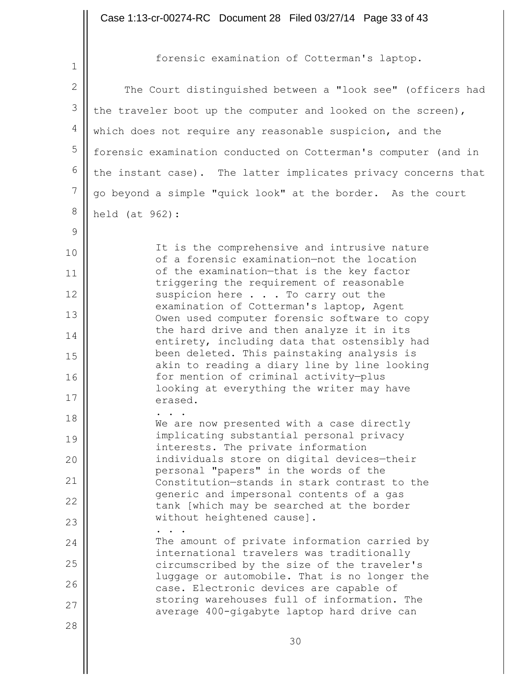1

9

10

11

12

13

14

15

16

17

28

forensic examination of Cotterman's laptop.

2 3 4 5 6 7 8 The Court distinguished between a "look see" (officers had the traveler boot up the computer and looked on the screen), which does not require any reasonable suspicion, and the forensic examination conducted on Cotterman's computer (and in the instant case). The latter implicates privacy concerns that go beyond a simple "quick look" at the border. As the court held (at 962):

> It is the comprehensive and intrusive nature of a forensic examination—not the location of the examination—that is the key factor triggering the requirement of reasonable suspicion here . . . To carry out the examination of Cotterman's laptop, Agent Owen used computer forensic software to copy the hard drive and then analyze it in its entirety, including data that ostensibly had been deleted. This painstaking analysis is akin to reading a diary line by line looking for mention of criminal activity—plus looking at everything the writer may have erased. . . .

18 19 20 21 22 23 24 We are now presented with a case directly implicating substantial personal privacy interests. The private information individuals store on digital devices—their personal "papers" in the words of the Constitution—stands in stark contrast to the generic and impersonal contents of a gas tank [which may be searched at the border without heightened cause]. . . . The amount of private information carried by international travelers was traditionally

25 26 27 circumscribed by the size of the traveler's luggage or automobile. That is no longer the case. Electronic devices are capable of storing warehouses full of information. The average 400-gigabyte laptop hard drive can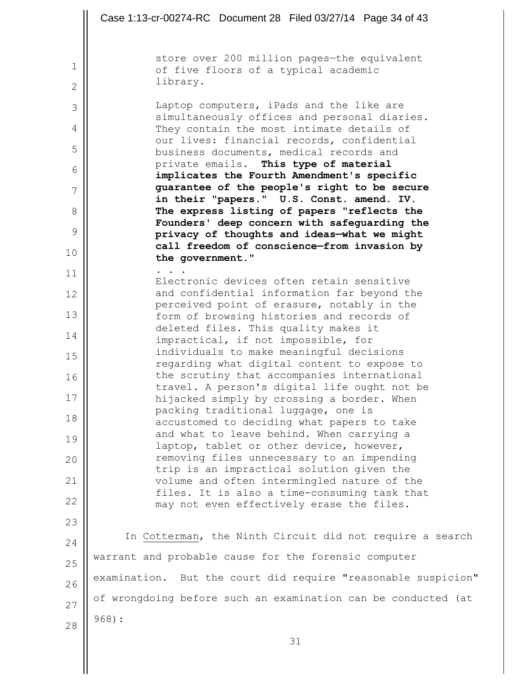|                              | Case 1:13-cr-00274-RC Document 28 Filed 03/27/14 Page 34 of 43                              |
|------------------------------|---------------------------------------------------------------------------------------------|
|                              | store over 200 million pages-the equivalent                                                 |
| $\mathbf{1}$<br>$\mathbf{2}$ | of five floors of a typical academic<br>library.                                            |
| 3                            | Laptop computers, iPads and the like are                                                    |
| 4                            | simultaneously offices and personal diaries.<br>They contain the most intimate details of   |
| 5                            | our lives: financial records, confidential<br>business documents, medical records and       |
| 6                            | private emails. This type of material                                                       |
| 7                            | implicates the Fourth Amendment's specific<br>guarantee of the people's right to be secure  |
| 8                            | in their "papers." U.S. Const. amend. IV.<br>The express listing of papers "reflects the    |
| 9                            | Founders' deep concern with safeguarding the<br>privacy of thoughts and ideas-what we might |
| 10                           | call freedom of conscience-from invasion by<br>the government."                             |
| 11                           |                                                                                             |
| 12                           | Electronic devices often retain sensitive<br>and confidential information far beyond the    |
| 13                           | perceived point of erasure, notably in the<br>form of browsing histories and records of     |
| 14                           | deleted files. This quality makes it                                                        |
|                              | impractical, if not impossible, for<br>individuals to make meaningful decisions             |
| 15                           | regarding what digital content to expose to                                                 |
| 16                           | the scrutiny that accompanies international<br>travel. A person's digital life ought not be |
| 17                           | hijacked simply by crossing a border. When<br>packing traditional luggage, one is           |
| 18                           | accustomed to deciding what papers to take                                                  |
| 19                           | and what to leave behind. When carrying a<br>laptop, tablet or other device, however,       |
| 20                           | removing files unnecessary to an impending                                                  |
| 21                           | trip is an impractical solution given the<br>volume and often intermingled nature of the    |
| 22                           | files. It is also a time-consuming task that<br>may not even effectively erase the files.   |
| 23                           |                                                                                             |
| 24                           | In Cotterman, the Ninth Circuit did not require a search                                    |
| 25                           | warrant and probable cause for the forensic computer                                        |
| 26                           | examination. But the court did require "reasonable suspicion"                               |
| 27                           | of wrongdoing before such an examination can be conducted (at                               |
| 28                           | $968$ ):                                                                                    |
|                              | 31                                                                                          |

 $\parallel$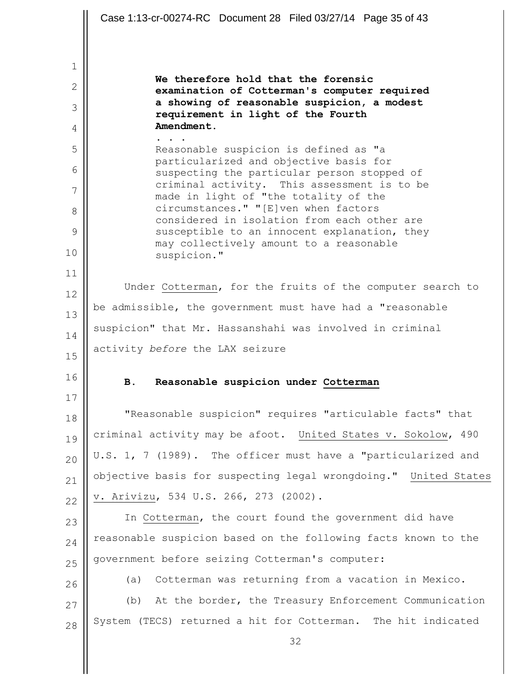|              | Case 1:13-cr-00274-RC Document 28 Filed 03/27/14 Page 35 of 43                              |
|--------------|---------------------------------------------------------------------------------------------|
|              |                                                                                             |
| 1            |                                                                                             |
| $\mathbf{2}$ | We therefore hold that the forensic                                                         |
| 3            | examination of Cotterman's computer required<br>a showing of reasonable suspicion, a modest |
| 4            | requirement in light of the Fourth<br>Amendment.                                            |
| 5            | Reasonable suspicion is defined as "a                                                       |
| 6            | particularized and objective basis for                                                      |
| 7            | suspecting the particular person stopped of<br>criminal activity. This assessment is to be  |
| 8            | made in light of "the totality of the<br>circumstances." "[E]ven when factors               |
| 9            | considered in isolation from each other are<br>susceptible to an innocent explanation, they |
| 10           | may collectively amount to a reasonable                                                     |
| 11           | suspicion."                                                                                 |
| 12           | Under Cotterman, for the fruits of the computer search to                                   |
| 13           | be admissible, the government must have had a "reasonable                                   |
| 14           | suspicion" that Mr. Hassanshahi was involved in criminal                                    |
| 15           | activity before the LAX seizure                                                             |
| 16           |                                                                                             |
|              | Reasonable suspicion under Cotterman<br>В.                                                  |
|              |                                                                                             |
| 17           | "Reasonable suspicion" requires "articulable facts" that                                    |
| 18           | criminal activity may be afoot. United States v. Sokolow, 490                               |
| 19           | U.S. 1, 7 (1989). The officer must have a "particularized and                               |
| 20           | objective basis for suspecting legal wrongdoing." United States                             |
| 21           | v. Arivizu, 534 U.S. 266, 273 (2002).                                                       |
| 22           | In Cotterman, the court found the government did have                                       |
| 23           | reasonable suspicion based on the following facts known to the                              |
| 24           | government before seizing Cotterman's computer:                                             |
| 25           | Cotterman was returning from a vacation in Mexico.<br>(a)                                   |
| 26           | At the border, the Treasury Enforcement Communication<br>(b)                                |
| 27           | System (TECS) returned a hit for Cotterman. The hit indicated                               |
| 28           | 32                                                                                          |
|              |                                                                                             |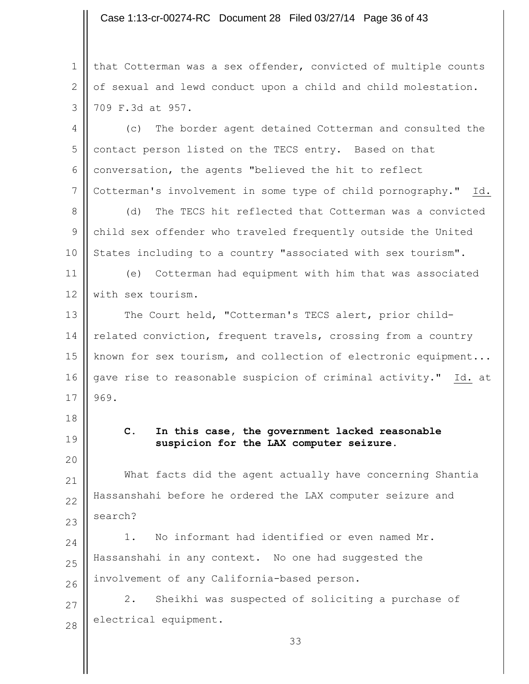#### Case 1:13-cr-00274-RC Document 28 Filed 03/27/14 Page 36 of 43

1 2 3 that Cotterman was a sex offender, convicted of multiple counts of sexual and lewd conduct upon a child and child molestation. 709 F.3d at 957.

4 5 6 7 (c) The border agent detained Cotterman and consulted the contact person listed on the TECS entry. Based on that conversation, the agents "believed the hit to reflect Cotterman's involvement in some type of child pornography." Id.

8 9 10 (d) The TECS hit reflected that Cotterman was a convicted child sex offender who traveled frequently outside the United States including to a country "associated with sex tourism".

11 12 (e) Cotterman had equipment with him that was associated with sex tourism.

13 14 15 16 17 The Court held, "Cotterman's TECS alert, prior childrelated conviction, frequent travels, crossing from a country known for sex tourism, and collection of electronic equipment... gave rise to reasonable suspicion of criminal activity." Id. at 969.

18

19

20

23

**C. In this case, the government lacked reasonable suspicion for the LAX computer seizure.**

21 22 What facts did the agent actually have concerning Shantia Hassanshahi before he ordered the LAX computer seizure and search?

24 25 26 1. No informant had identified or even named Mr. Hassanshahi in any context. No one had suggested the involvement of any California-based person.

27 28 2. Sheikhi was suspected of soliciting a purchase of electrical equipment.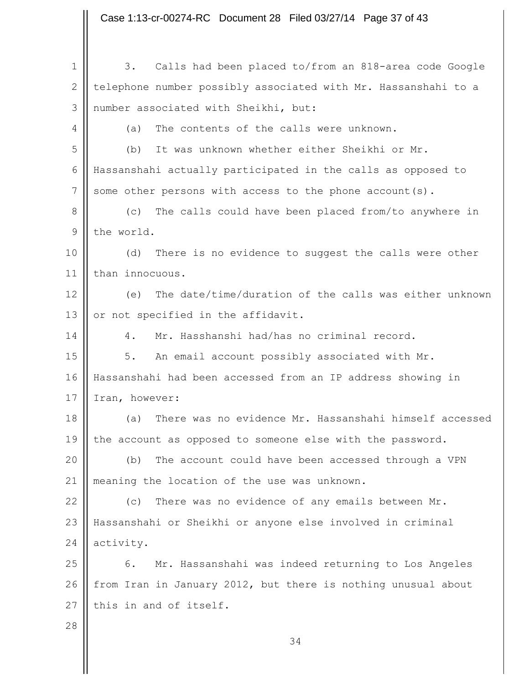34 1 2 3 4 5 6 7 8 9 10 11 12 13 14 15 16 17 18 19 20 21 22 23 24 25 26 27 28 3. Calls had been placed to/from an 818-area code Google telephone number possibly associated with Mr. Hassanshahi to a number associated with Sheikhi, but: (a) The contents of the calls were unknown. (b) It was unknown whether either Sheikhi or Mr. Hassanshahi actually participated in the calls as opposed to some other persons with access to the phone account(s). (c) The calls could have been placed from/to anywhere in the world. (d) There is no evidence to suggest the calls were other than innocuous. (e) The date/time/duration of the calls was either unknown or not specified in the affidavit. 4. Mr. Hasshanshi had/has no criminal record. 5. An email account possibly associated with Mr. Hassanshahi had been accessed from an IP address showing in Iran, however: (a) There was no evidence Mr. Hassanshahi himself accessed the account as opposed to someone else with the password. (b) The account could have been accessed through a VPN meaning the location of the use was unknown. (c) There was no evidence of any emails between Mr. Hassanshahi or Sheikhi or anyone else involved in criminal activity. 6. Mr. Hassanshahi was indeed returning to Los Angeles from Iran in January 2012, but there is nothing unusual about this in and of itself. Case 1:13-cr-00274-RC Document 28 Filed 03/27/14 Page 37 of 43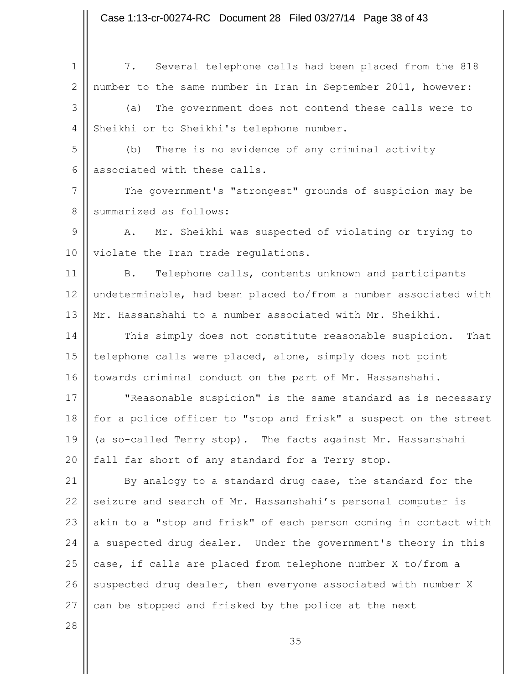1 2 3 4 5 6 7 8 9 10 11 12 13 14 15 16 17 18 19 20 21 22 23 24 25 26 27 7. Several telephone calls had been placed from the 818 number to the same number in Iran in September 2011, however: (a) The government does not contend these calls were to Sheikhi or to Sheikhi's telephone number. (b) There is no evidence of any criminal activity associated with these calls. The government's "strongest" grounds of suspicion may be summarized as follows: A. Mr. Sheikhi was suspected of violating or trying to violate the Iran trade regulations. B. Telephone calls, contents unknown and participants undeterminable, had been placed to/from a number associated with Mr. Hassanshahi to a number associated with Mr. Sheikhi. This simply does not constitute reasonable suspicion. That telephone calls were placed, alone, simply does not point towards criminal conduct on the part of Mr. Hassanshahi. "Reasonable suspicion" is the same standard as is necessary for a police officer to "stop and frisk" a suspect on the street (a so-called Terry stop). The facts against Mr. Hassanshahi fall far short of any standard for a Terry stop. By analogy to a standard drug case, the standard for the seizure and search of Mr. Hassanshahi's personal computer is akin to a "stop and frisk" of each person coming in contact with a suspected drug dealer. Under the government's theory in this case, if calls are placed from telephone number X to/from a suspected drug dealer, then everyone associated with number X can be stopped and frisked by the police at the next Case 1:13-cr-00274-RC Document 28 Filed 03/27/14 Page 38 of 43

28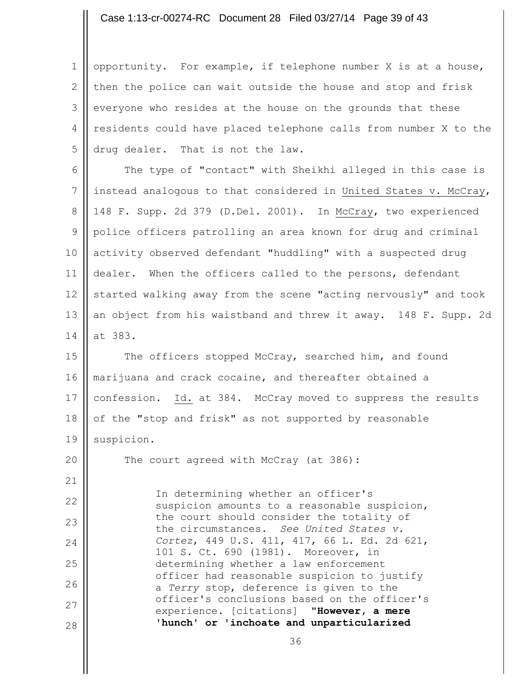#### Case 1:13-cr-00274-RC Document 28 Filed 03/27/14 Page 39 of 43

1 2 3 4 5 opportunity. For example, if telephone number X is at a house, then the police can wait outside the house and stop and frisk everyone who resides at the house on the grounds that these residents could have placed telephone calls from number X to the drug dealer. That is not the law.

6 7 8 9 10 11 12 13 14 The type of "contact" with Sheikhi alleged in this case is instead analogous to that considered in United States v. McCray, 148 F. Supp. 2d 379 (D.Del. 2001). In McCray, two experienced police officers patrolling an area known for drug and criminal activity observed defendant "huddling" with a suspected drug dealer. When the officers called to the persons, defendant started walking away from the scene "acting nervously" and took an object from his waistband and threw it away. 148 F. Supp. 2d at 383.

15 16 17 18 19 The officers stopped McCray, searched him, and found marijuana and crack cocaine, and thereafter obtained a confession. Id. at 384. McCray moved to suppress the results of the "stop and frisk" as not supported by reasonable suspicion.

20 The court agreed with McCray (at 386):

21

22 23 24 25 26 27 28 In determining whether an officer's suspicion amounts to a reasonable suspicion, the court should consider the totality of the circumstances. *See United States v. Cortez*, 449 U.S. 411, 417, 66 L. Ed. 2d 621, 101 S. Ct. 690 (1981). Moreover, in determining whether a law enforcement officer had reasonable suspicion to justify a *Terry* stop, deference is given to the officer's conclusions based on the officer's experience. [citations] "**However, a mere 'hunch' or 'inchoate and unparticularized**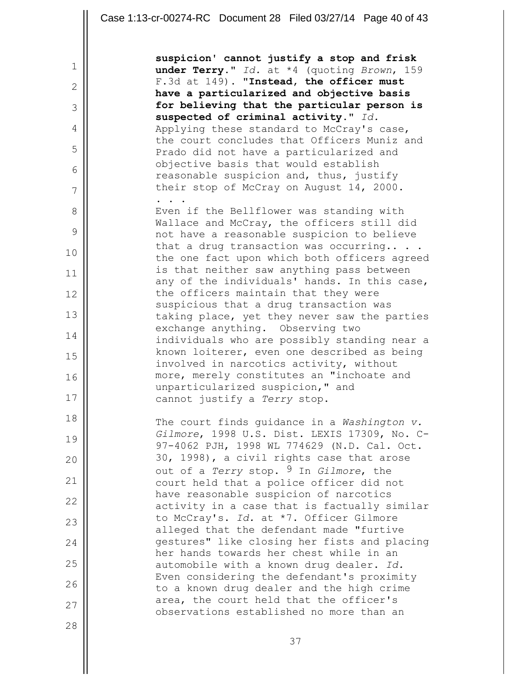|              | Case 1:13-cr-00274-RC Document 28 Filed 03/27/14 Page 40 of 43                              |
|--------------|---------------------------------------------------------------------------------------------|
|              |                                                                                             |
| $\mathbf 1$  | suspicion' cannot justify a stop and frisk<br>under Terry." Id. at *4 (quoting Brown, 159   |
| $\mathbf{2}$ | F.3d at 149). "Instead, the officer must                                                    |
| 3            | have a particularized and objective basis<br>for believing that the particular person is    |
|              | suspected of criminal activity." Id.                                                        |
| 4            | Applying these standard to McCray's case,<br>the court concludes that Officers Muniz and    |
| 5            | Prado did not have a particularized and                                                     |
| 6            | objective basis that would establish<br>reasonable suspicion and, thus, justify             |
| 7            | their stop of McCray on August 14, 2000.                                                    |
| 8            | Even if the Bellflower was standing with                                                    |
|              | Wallace and McCray, the officers still did                                                  |
| 9            | not have a reasonable suspicion to believe<br>that a drug transaction was occurring         |
| 10           | the one fact upon which both officers agreed                                                |
| 11           | is that neither saw anything pass between<br>any of the individuals' hands. In this case,   |
| 12           | the officers maintain that they were                                                        |
| 13           | suspicious that a drug transaction was<br>taking place, yet they never saw the parties      |
|              | exchange anything. Observing two                                                            |
| 14           | individuals who are possibly standing near a                                                |
| 15           | known loiterer, even one described as being<br>involved in narcotics activity, without      |
| 16           | more, merely constitutes an "inchoate and                                                   |
| 17           | unparticularized suspicion," and<br>cannot justify a Terry stop.                            |
| 18           |                                                                                             |
|              | The court finds quidance in a Washington v.<br>Gilmore, 1998 U.S. Dist. LEXIS 17309, No. C- |
| 19           | 97-4062 PJH, 1998 WL 774629 (N.D. Cal. Oct.                                                 |
| 20           | 30, 1998), a civil rights case that arose<br>out of a Terry stop. 9 In Gilmore, the         |
| 21           | court held that a police officer did not                                                    |
| 22           | have reasonable suspicion of narcotics<br>activity in a case that is factually similar      |
| 23           | to McCray's. Id. at *7. Officer Gilmore                                                     |
|              | alleged that the defendant made "furtive<br>gestures" like closing her fists and placing    |
| 24           | her hands towards her chest while in an                                                     |
| 25           | automobile with a known drug dealer. Id.                                                    |
| 26           | Even considering the defendant's proximity<br>to a known drug dealer and the high crime     |
| 27           | area, the court held that the officer's                                                     |
| 28           | observations established no more than an                                                    |
|              | 37                                                                                          |

Ш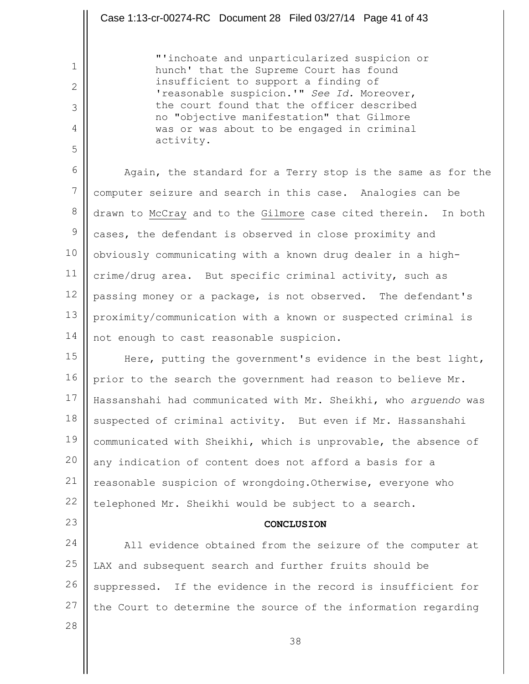"'inchoate and unparticularized suspicion or hunch' that the Supreme Court has found insufficient to support a finding of 'reasonable suspicion.'" *See Id.* Moreover, the court found that the officer described no "objective manifestation" that Gilmore was or was about to be engaged in criminal activity.

6 7 8 9 10 11 12 13 14 Again, the standard for a Terry stop is the same as for the computer seizure and search in this case. Analogies can be drawn to McCray and to the Gilmore case cited therein. In both cases, the defendant is observed in close proximity and obviously communicating with a known drug dealer in a highcrime/drug area. But specific criminal activity, such as passing money or a package, is not observed. The defendant's proximity/communication with a known or suspected criminal is not enough to cast reasonable suspicion.

15 16 17 18 19 20 21 22 Here, putting the government's evidence in the best light, prior to the search the government had reason to believe Mr. Hassanshahi had communicated with Mr. Sheikhi, who *arguendo* was suspected of criminal activity. But even if Mr. Hassanshahi communicated with Sheikhi, which is unprovable, the absence of any indication of content does not afford a basis for a reasonable suspicion of wrongdoing.Otherwise, everyone who telephoned Mr. Sheikhi would be subject to a search.

23

1

2

3

4

5

#### **CONCLUSION**

24 25 26 27 All evidence obtained from the seizure of the computer at LAX and subsequent search and further fruits should be suppressed. If the evidence in the record is insufficient for the Court to determine the source of the information regarding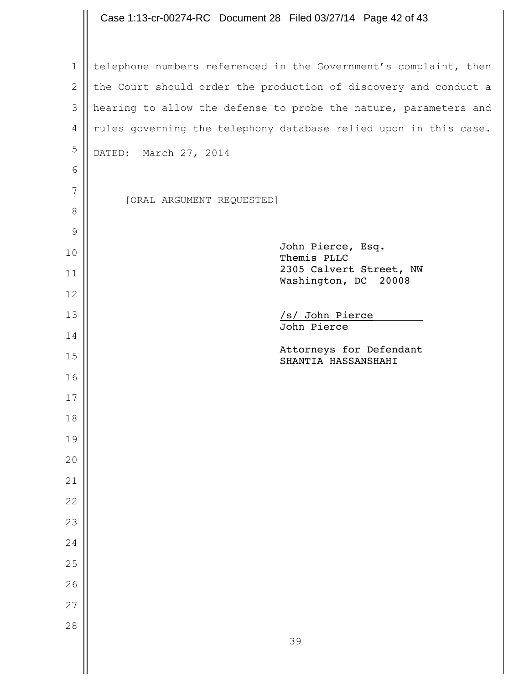### telephone numbers referenced in the Government's complaint, then the Court should order the production of discovery and conduct a hearing to allow the defense to probe the nature, parameters and rules governing the telephony database relied upon in this case. DATED: March 27, 2014 [ORAL ARGUMENT REQUESTED] John Pierce, Esq. Themis PLLC 2305 Calvert Street, NW Washington, DC 20008 /s/ John Pierce\_\_\_\_\_\_\_\_ John Pierce Attorneys for Defendant SHANTIA HASSANSHAHI Case 1:13-cr-00274-RC Document 28 Filed 03/27/14 Page 42 of 43